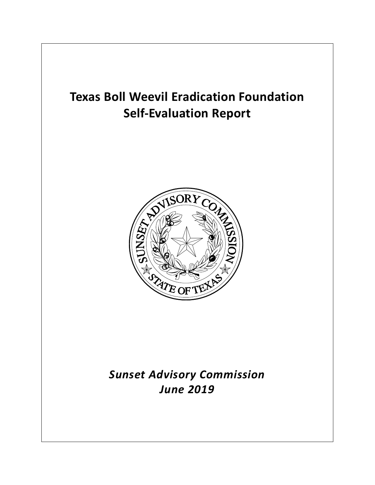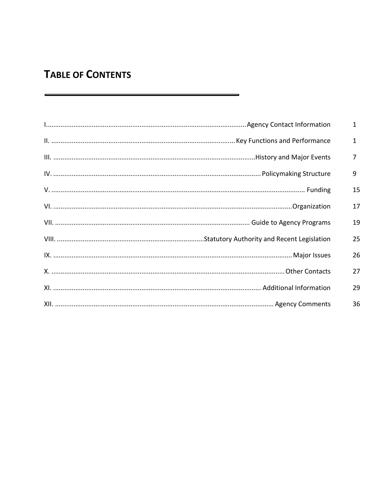# **TABLE OF CONTENTS**

| $\mathbf{1}$   |
|----------------|
| $\mathbf{1}$   |
| $\overline{7}$ |
| 9              |
| 15             |
| 17             |
| 19             |
| 25             |
| 26             |
| 27             |
| 29             |
| 36             |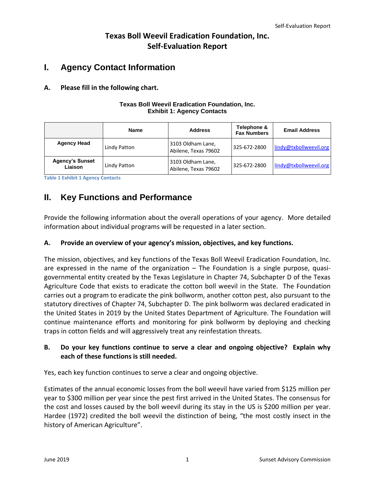## **Texas Boll Weevil Eradication Foundation, Inc. Self-Evaluation Report**

## <span id="page-2-0"></span>**I. Agency Contact Information**

## **A. Please fill in the following chart.**

#### **Texas Boll Weevil Eradication Foundation, Inc. Exhibit 1: Agency Contacts**

|                                   | <b>Name</b>  | <b>Address</b>                            | Telephone &<br><b>Fax Numbers</b> | <b>Email Address</b>   |
|-----------------------------------|--------------|-------------------------------------------|-----------------------------------|------------------------|
| <b>Agency Head</b>                | Lindy Patton | 3103 Oldham Lane,<br>Abilene, Texas 79602 | 325-672-2800                      | lindy@txbollweevil.org |
| <b>Agency's Sunset</b><br>Liaison | Lindy Patton | 3103 Oldham Lane,<br>Abilene, Texas 79602 | 325-672-2800                      | lindy@txbollweevil.org |

**Table 1 Exhibit 1 Agency Contacts**

## <span id="page-2-1"></span>**II. Key Functions and Performance**

Provide the following information about the overall operations of your agency. More detailed information about individual programs will be requested in a later section.

## **A. Provide an overview of your agency's mission, objectives, and key functions.**

The mission, objectives, and key functions of the Texas Boll Weevil Eradication Foundation, Inc. are expressed in the name of the organization – The Foundation is a single purpose, quasigovernmental entity created by the Texas Legislature in Chapter 74, Subchapter D of the Texas Agriculture Code that exists to eradicate the cotton boll weevil in the State. The Foundation carries out a program to eradicate the pink bollworm, another cotton pest, also pursuant to the statutory directives of Chapter 74, Subchapter D. The pink bollworm was declared eradicated in the United States in 2019 by the United States Department of Agriculture. The Foundation will continue maintenance efforts and monitoring for pink bollworm by deploying and checking traps in cotton fields and will aggressively treat any reinfestation threats.

## **B. Do your key functions continue to serve a clear and ongoing objective? Explain why each of these functions is still needed.**

Yes, each key function continues to serve a clear and ongoing objective.

Estimates of the annual economic losses from the boll weevil have varied from \$125 million per year to \$300 million per year since the pest first arrived in the United States. The consensus for the cost and losses caused by the boll weevil during its stay in the US is \$200 million per year. Hardee (1972) credited the boll weevil the distinction of being, "the most costly insect in the history of American Agriculture".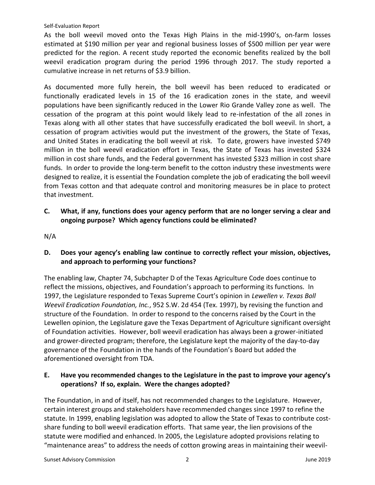As the boll weevil moved onto the Texas High Plains in the mid-1990's, on-farm losses estimated at \$190 million per year and regional business losses of \$500 million per year were predicted for the region. A recent study reported the economic benefits realized by the boll weevil eradication program during the period 1996 through 2017. The study reported a cumulative increase in net returns of \$3.9 billion.

As documented more fully herein, the boll weevil has been reduced to eradicated or functionally eradicated levels in 15 of the 16 eradication zones in the state, and weevil populations have been significantly reduced in the Lower Rio Grande Valley zone as well. The cessation of the program at this point would likely lead to re-infestation of the all zones in Texas along with all other states that have successfully eradicated the boll weevil. In short, a cessation of program activities would put the investment of the growers, the State of Texas, and United States in eradicating the boll weevil at risk. To date, growers have invested \$749 million in the boll weevil eradication effort in Texas, the State of Texas has invested \$324 million in cost share funds, and the Federal government has invested \$323 million in cost share funds. In order to provide the long-term benefit to the cotton industry these investments were designed to realize, it is essential the Foundation complete the job of eradicating the boll weevil from Texas cotton and that adequate control and monitoring measures be in place to protect that investment.

**C. What, if any, functions does your agency perform that are no longer serving a clear and ongoing purpose? Which agency functions could be eliminated?**

N/A

**D. Does your agency's enabling law continue to correctly reflect your mission, objectives, and approach to performing your functions?** 

The enabling law, Chapter 74, Subchapter D of the Texas Agriculture Code does continue to reflect the missions, objectives, and Foundation's approach to performing its functions. In 1997, the Legislature responded to Texas Supreme Court's opinion in *Lewellen v. Texas Boll Weevil Eradication Foundation, Inc.*, 952 S.W. 2d 454 (Tex. 1997), by revising the function and structure of the Foundation. In order to respond to the concerns raised by the Court in the Lewellen opinion, the Legislature gave the Texas Department of Agriculture significant oversight of Foundation activities. However, boll weevil eradication has always been a grower-initiated and grower-directed program; therefore, the Legislature kept the majority of the day-to-day governance of the Foundation in the hands of the Foundation's Board but added the aforementioned oversight from TDA.

### **E. Have you recommended changes to the Legislature in the past to improve your agency's operations? If so, explain. Were the changes adopted?**

The Foundation, in and of itself, has not recommended changes to the Legislature. However, certain interest groups and stakeholders have recommended changes since 1997 to refine the statute. In 1999, enabling legislation was adopted to allow the State of Texas to contribute costshare funding to boll weevil eradication efforts. That same year, the lien provisions of the statute were modified and enhanced. In 2005, the Legislature adopted provisions relating to "maintenance areas" to address the needs of cotton growing areas in maintaining their weevil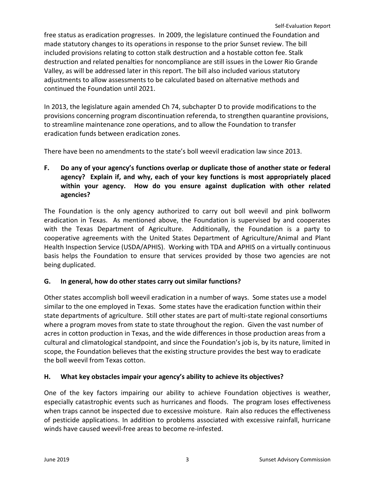free status as eradication progresses. In 2009, the legislature continued the Foundation and made statutory changes to its operations in response to the prior Sunset review. The bill included provisions relating to cotton stalk destruction and a hostable cotton fee. Stalk destruction and related penalties for noncompliance are still issues in the Lower Rio Grande Valley, as will be addressed later in this report. The bill also included various statutory adjustments to allow assessments to be calculated based on alternative methods and continued the Foundation until 2021.

In 2013, the legislature again amended Ch 74, subchapter D to provide modifications to the provisions concerning program discontinuation referenda, to strengthen quarantine provisions, to streamline maintenance zone operations, and to allow the Foundation to transfer eradication funds between eradication zones.

There have been no amendments to the state's boll weevil eradication law since 2013.

**F. Do any of your agency's functions overlap or duplicate those of another state or federal agency? Explain if, and why, each of your key functions is most appropriately placed within your agency. How do you ensure against duplication with other related agencies?**

The Foundation is the only agency authorized to carry out boll weevil and pink bollworm eradication in Texas. As mentioned above, the Foundation is supervised by and cooperates with the Texas Department of Agriculture. Additionally, the Foundation is a party to cooperative agreements with the United States Department of Agriculture/Animal and Plant Health Inspection Service (USDA/APHIS). Working with TDA and APHIS on a virtually continuous basis helps the Foundation to ensure that services provided by those two agencies are not being duplicated.

## **G. In general, how do other states carry out similar functions?**

Other states accomplish boll weevil eradication in a number of ways. Some states use a model similar to the one employed in Texas. Some states have the eradication function within their state departments of agriculture. Still other states are part of multi-state regional consortiums where a program moves from state to state throughout the region. Given the vast number of acres in cotton production in Texas, and the wide differences in those production areas from a cultural and climatological standpoint, and since the Foundation's job is, by its nature, limited in scope, the Foundation believes that the existing structure provides the best way to eradicate the boll weevil from Texas cotton.

## **H. What key obstacles impair your agency's ability to achieve its objectives?**

One of the key factors impairing our ability to achieve Foundation objectives is weather, especially catastrophic events such as hurricanes and floods. The program loses effectiveness when traps cannot be inspected due to excessive moisture. Rain also reduces the effectiveness of pesticide applications. In addition to problems associated with excessive rainfall, hurricane winds have caused weevil-free areas to become re-infested.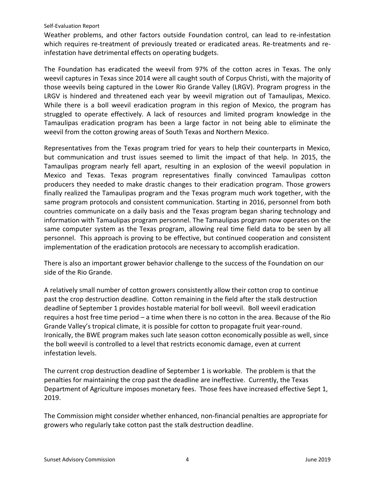Weather problems, and other factors outside Foundation control, can lead to re-infestation which requires re-treatment of previously treated or eradicated areas. Re-treatments and reinfestation have detrimental effects on operating budgets.

The Foundation has eradicated the weevil from 97% of the cotton acres in Texas. The only weevil captures in Texas since 2014 were all caught south of Corpus Christi, with the majority of those weevils being captured in the Lower Rio Grande Valley (LRGV). Program progress in the LRGV is hindered and threatened each year by weevil migration out of Tamaulipas, Mexico. While there is a boll weevil eradication program in this region of Mexico, the program has struggled to operate effectively. A lack of resources and limited program knowledge in the Tamaulipas eradication program has been a large factor in not being able to eliminate the weevil from the cotton growing areas of South Texas and Northern Mexico.

Representatives from the Texas program tried for years to help their counterparts in Mexico, but communication and trust issues seemed to limit the impact of that help. In 2015, the Tamaulipas program nearly fell apart, resulting in an explosion of the weevil population in Mexico and Texas. Texas program representatives finally convinced Tamaulipas cotton producers they needed to make drastic changes to their eradication program. Those growers finally realized the Tamaulipas program and the Texas program much work together, with the same program protocols and consistent communication. Starting in 2016, personnel from both countries communicate on a daily basis and the Texas program began sharing technology and information with Tamaulipas program personnel. The Tamaulipas program now operates on the same computer system as the Texas program, allowing real time field data to be seen by all personnel. This approach is proving to be effective, but continued cooperation and consistent implementation of the eradication protocols are necessary to accomplish eradication.

There is also an important grower behavior challenge to the success of the Foundation on our side of the Rio Grande.

A relatively small number of cotton growers consistently allow their cotton crop to continue past the crop destruction deadline. Cotton remaining in the field after the stalk destruction deadline of September 1 provides hostable material for boll weevil. Boll weevil eradication requires a host free time period – a time when there is no cotton in the area. Because of the Rio Grande Valley's tropical climate, it is possible for cotton to propagate fruit year-round. Ironically, the BWE program makes such late season cotton economically possible as well, since the boll weevil is controlled to a level that restricts economic damage, even at current infestation levels.

The current crop destruction deadline of September 1 is workable. The problem is that the penalties for maintaining the crop past the deadline are ineffective. Currently, the Texas Department of Agriculture imposes monetary fees. Those fees have increased effective Sept 1, 2019.

The Commission might consider whether enhanced, non-financial penalties are appropriate for growers who regularly take cotton past the stalk destruction deadline.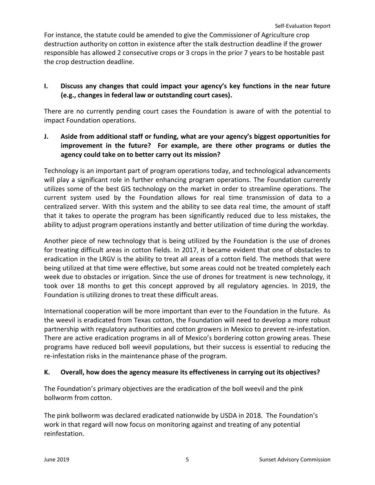For instance, the statute could be amended to give the Commissioner of Agriculture crop destruction authority on cotton in existence after the stalk destruction deadline if the grower responsible has allowed 2 consecutive crops or 3 crops in the prior 7 years to be hostable past the crop destruction deadline.

## **I. Discuss any changes that could impact your agency's key functions in the near future (e.g., changes in federal law or outstanding court cases).**

There are no currently pending court cases the Foundation is aware of with the potential to impact Foundation operations.

## **J. Aside from additional staff or funding, what are your agency's biggest opportunities for improvement in the future? For example, are there other programs or duties the agency could take on to better carry out its mission?**

Technology is an important part of program operations today, and technological advancements will play a significant role in further enhancing program operations. The Foundation currently utilizes some of the best GIS technology on the market in order to streamline operations. The current system used by the Foundation allows for real time transmission of data to a centralized server. With this system and the ability to see data real time, the amount of staff that it takes to operate the program has been significantly reduced due to less mistakes, the ability to adjust program operations instantly and better utilization of time during the workday.

Another piece of new technology that is being utilized by the Foundation is the use of drones for treating difficult areas in cotton fields. In 2017, it became evident that one of obstacles to eradication in the LRGV is the ability to treat all areas of a cotton field. The methods that were being utilized at that time were effective, but some areas could not be treated completely each week due to obstacles or irrigation. Since the use of drones for treatment is new technology, it took over 18 months to get this concept approved by all regulatory agencies. In 2019, the Foundation is utilizing drones to treat these difficult areas.

International cooperation will be more important than ever to the Foundation in the future. As the weevil is eradicated from Texas cotton, the Foundation will need to develop a more robust partnership with regulatory authorities and cotton growers in Mexico to prevent re-infestation. There are active eradication programs in all of Mexico's bordering cotton growing areas. These programs have reduced boll weevil populations, but their success is essential to reducing the re-infestation risks in the maintenance phase of the program.

## **K. Overall, how does the agency measure its effectiveness in carrying out its objectives?**

The Foundation's primary objectives are the eradication of the boll weevil and the pink bollworm from cotton.

The pink bollworm was declared eradicated nationwide by USDA in 2018. The Foundation's work in that regard will now focus on monitoring against and treating of any potential reinfestation.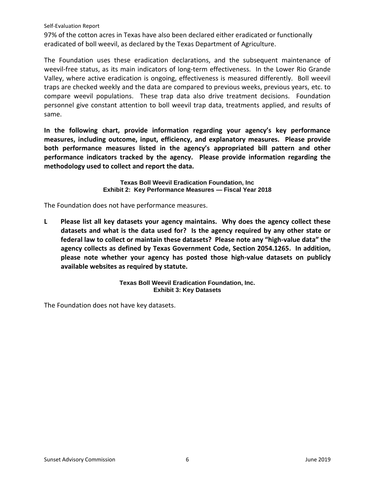97% of the cotton acres in Texas have also been declared either eradicated or functionally eradicated of boll weevil, as declared by the Texas Department of Agriculture.

The Foundation uses these eradication declarations, and the subsequent maintenance of weevil-free status, as its main indicators of long-term effectiveness. In the Lower Rio Grande Valley, where active eradication is ongoing, effectiveness is measured differently. Boll weevil traps are checked weekly and the data are compared to previous weeks, previous years, etc. to compare weevil populations. These trap data also drive treatment decisions. Foundation personnel give constant attention to boll weevil trap data, treatments applied, and results of same.

**In the following chart, provide information regarding your agency's key performance measures, including outcome, input, efficiency, and explanatory measures. Please provide both performance measures listed in the agency's appropriated bill pattern and other performance indicators tracked by the agency. Please provide information regarding the methodology used to collect and report the data.**

> **Texas Boll Weevil Eradication Foundation, Inc Exhibit 2: Key Performance Measures — Fiscal Year 2018**

The Foundation does not have performance measures.

**L Please list all key datasets your agency maintains. Why does the agency collect these datasets and what is the data used for? Is the agency required by any other state or federal law to collect or maintain these datasets?****Please note any "high-value data" the agency collects as defined by Texas Government Code, Section 2054.1265. In addition, please note whether your agency has posted those high-value datasets on publicly available websites as required by statute.**

> **Texas Boll Weevil Eradication Foundation, Inc. Exhibit 3: Key Datasets**

<span id="page-7-0"></span>The Foundation does not have key datasets.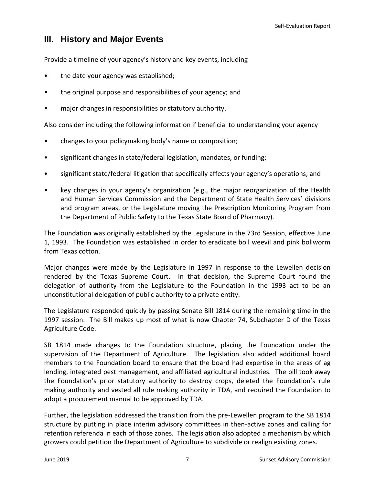## **III. History and Major Events**

Provide a timeline of your agency's history and key events, including

- the date your agency was established;
- the original purpose and responsibilities of your agency; and
- major changes in responsibilities or statutory authority.

Also consider including the following information if beneficial to understanding your agency

- changes to your policymaking body's name or composition;
- significant changes in state/federal legislation, mandates, or funding;
- significant state/federal litigation that specifically affects your agency's operations; and
- key changes in your agency's organization (e.g., the major reorganization of the Health and Human Services Commission and the Department of State Health Services' divisions and program areas, or the Legislature moving the Prescription Monitoring Program from the Department of Public Safety to the Texas State Board of Pharmacy).

The Foundation was originally established by the Legislature in the 73rd Session, effective June 1, 1993. The Foundation was established in order to eradicate boll weevil and pink bollworm from Texas cotton.

Major changes were made by the Legislature in 1997 in response to the Lewellen decision rendered by the Texas Supreme Court. In that decision, the Supreme Court found the delegation of authority from the Legislature to the Foundation in the 1993 act to be an unconstitutional delegation of public authority to a private entity.

The Legislature responded quickly by passing Senate Bill 1814 during the remaining time in the 1997 session. The Bill makes up most of what is now Chapter 74, Subchapter D of the Texas Agriculture Code.

SB 1814 made changes to the Foundation structure, placing the Foundation under the supervision of the Department of Agriculture. The legislation also added additional board members to the Foundation board to ensure that the board had expertise in the areas of ag lending, integrated pest management, and affiliated agricultural industries. The bill took away the Foundation's prior statutory authority to destroy crops, deleted the Foundation's rule making authority and vested all rule making authority in TDA, and required the Foundation to adopt a procurement manual to be approved by TDA.

Further, the legislation addressed the transition from the pre-Lewellen program to the SB 1814 structure by putting in place interim advisory committees in then-active zones and calling for retention referenda in each of those zones. The legislation also adopted a mechanism by which growers could petition the Department of Agriculture to subdivide or realign existing zones.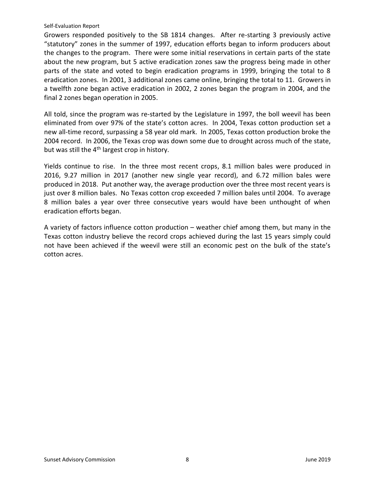Growers responded positively to the SB 1814 changes. After re-starting 3 previously active "statutory" zones in the summer of 1997, education efforts began to inform producers about the changes to the program. There were some initial reservations in certain parts of the state about the new program, but 5 active eradication zones saw the progress being made in other parts of the state and voted to begin eradication programs in 1999, bringing the total to 8 eradication zones. In 2001, 3 additional zones came online, bringing the total to 11. Growers in a twelfth zone began active eradication in 2002, 2 zones began the program in 2004, and the final 2 zones began operation in 2005.

All told, since the program was re-started by the Legislature in 1997, the boll weevil has been eliminated from over 97% of the state's cotton acres. In 2004, Texas cotton production set a new all-time record, surpassing a 58 year old mark. In 2005, Texas cotton production broke the 2004 record. In 2006, the Texas crop was down some due to drought across much of the state, but was still the 4<sup>th</sup> largest crop in history.

Yields continue to rise. In the three most recent crops, 8.1 million bales were produced in 2016, 9.27 million in 2017 (another new single year record), and 6.72 million bales were produced in 2018. Put another way, the average production over the three most recent years is just over 8 million bales. No Texas cotton crop exceeded 7 million bales until 2004. To average 8 million bales a year over three consecutive years would have been unthought of when eradication efforts began.

<span id="page-9-0"></span>A variety of factors influence cotton production – weather chief among them, but many in the Texas cotton industry believe the record crops achieved during the last 15 years simply could not have been achieved if the weevil were still an economic pest on the bulk of the state's cotton acres.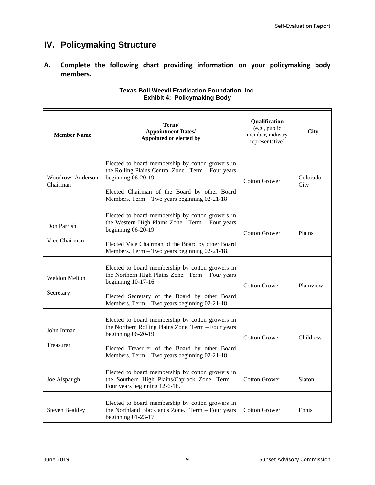## **IV. Policymaking Structure**

**A. Complete the following chart providing information on your policymaking body members.**

| <b>Member Name</b>                | Term/<br><b>Appointment Dates/</b><br>Appointed or elected by                                                                                                                                                                       | Qualification<br>(e.g., public<br>member, industry<br>representative) | <b>City</b>      |
|-----------------------------------|-------------------------------------------------------------------------------------------------------------------------------------------------------------------------------------------------------------------------------------|-----------------------------------------------------------------------|------------------|
| Woodrow Anderson<br>Chairman      | Elected to board membership by cotton growers in<br>the Rolling Plains Central Zone. Term - Four years<br>beginning $06-20-19$ .<br>Elected Chairman of the Board by other Board<br>Members. Term - Two years beginning 02-21-18    | <b>Cotton Grower</b>                                                  | Colorado<br>City |
| Don Parrish<br>Vice Chairman      | Elected to board membership by cotton growers in<br>the Western High Plains Zone. Term - Four years<br>beginning $06-20-19$ .<br>Elected Vice Chairman of the Board by other Board<br>Members. Term - Two years beginning 02-21-18. | <b>Cotton Grower</b>                                                  | Plains           |
| <b>Weldon Melton</b><br>Secretary | Elected to board membership by cotton growers in<br>the Northern High Plains Zone. Term - Four years<br>beginning 10-17-16.<br>Elected Secretary of the Board by other Board<br>Members. Term - Two years beginning 02-21-18.       | <b>Cotton Grower</b>                                                  | Plainview        |
| John Inman<br>Treasurer           | Elected to board membership by cotton growers in<br>the Northern Rolling Plains Zone. Term - Four years<br>beginning 06-20-19.<br>Elected Treasurer of the Board by other Board<br>Members. Term - Two years beginning 02-21-18.    | <b>Cotton Grower</b>                                                  | Childress        |
| Joe Alspaugh                      | Elected to board membership by cotton growers in<br>the Southern High Plains/Caprock Zone. Term -<br>Four years beginning 12-6-16.                                                                                                  | <b>Cotton Grower</b>                                                  | Slaton           |
| <b>Steven Beakley</b>             | Elected to board membership by cotton growers in<br>the Northland Blacklands Zone. Term - Four years<br>beginning 01-23-17.                                                                                                         | <b>Cotton Grower</b>                                                  | Ennis            |

#### **Texas Boll Weevil Eradication Foundation, Inc. Exhibit 4: Policymaking Body**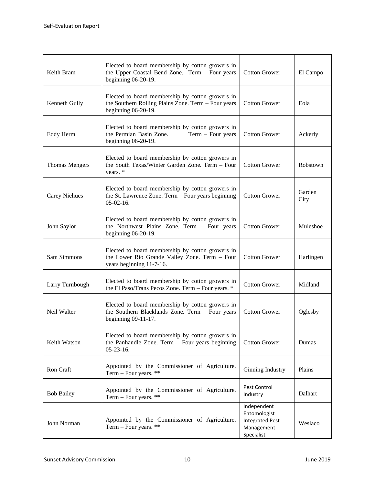| Keith Bram            | Elected to board membership by cotton growers in<br>the Upper Coastal Bend Zone. Term - Four years<br>beginning 06-20-19.      | <b>Cotton Grower</b>                                                              | El Campo       |
|-----------------------|--------------------------------------------------------------------------------------------------------------------------------|-----------------------------------------------------------------------------------|----------------|
| Kenneth Gully         | Elected to board membership by cotton growers in<br>the Southern Rolling Plains Zone. Term - Four years<br>beginning 06-20-19. | <b>Cotton Grower</b>                                                              | Eola           |
| Eddy Herm             | Elected to board membership by cotton growers in<br>the Permian Basin Zone.<br>Term $-$ Four years<br>beginning $06-20-19$ .   | <b>Cotton Grower</b>                                                              | Ackerly        |
| <b>Thomas Mengers</b> | Elected to board membership by cotton growers in<br>the South Texas/Winter Garden Zone. Term - Four<br>years. *                | <b>Cotton Grower</b>                                                              | Robstown       |
| <b>Carey Niehues</b>  | Elected to board membership by cotton growers in<br>the St. Lawrence Zone. Term - Four years beginning<br>$05-02-16.$          | <b>Cotton Grower</b>                                                              | Garden<br>City |
| John Saylor           | Elected to board membership by cotton growers in<br>the Northwest Plains Zone. Term - Four years<br>beginning 06-20-19.        | <b>Cotton Grower</b>                                                              | Muleshoe       |
| Sam Simmons           | Elected to board membership by cotton growers in<br>the Lower Rio Grande Valley Zone. Term - Four<br>years beginning 11-7-16.  | <b>Cotton Grower</b>                                                              | Harlingen      |
| Larry Turnbough       | Elected to board membership by cotton growers in<br>the El Paso/Trans Pecos Zone. Term - Four years. *                         | <b>Cotton Grower</b>                                                              | Midland        |
| Neil Walter           | Elected to board membership by cotton growers in<br>the Southern Blacklands Zone. Term - Four years<br>beginning 09-11-17.     | <b>Cotton Grower</b>                                                              | Oglesby        |
| Keith Watson          | Elected to board membership by cotton growers in<br>the Panhandle Zone. Term $-$ Four years beginning<br>$05 - 23 - 16.$       | <b>Cotton Grower</b>                                                              | Dumas          |
| Ron Craft             | Appointed by the Commissioner of Agriculture.<br>Term $-$ Four years. **                                                       | Ginning Industry                                                                  | Plains         |
| <b>Bob Bailey</b>     | Appointed by the Commissioner of Agriculture.<br>Term $-$ Four years. **                                                       | Pest Control<br>Industry                                                          | Dalhart        |
| John Norman           | Appointed by the Commissioner of Agriculture.<br>Term $-$ Four years. **                                                       | Independent<br>Entomologist<br><b>Integrated Pest</b><br>Management<br>Specialist | Weslaco        |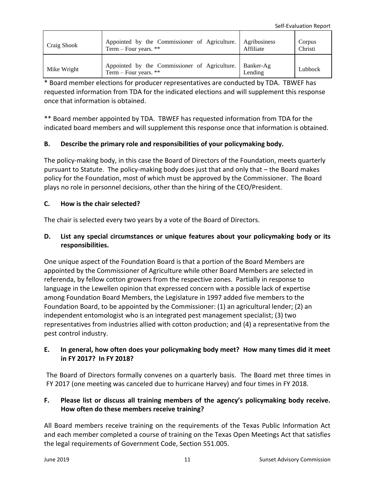| Craig Shook | Appointed by the Commissioner of Agriculture.                                      | Agribusiness | Corpus  |
|-------------|------------------------------------------------------------------------------------|--------------|---------|
|             | Term $-$ Four years. **                                                            | Affiliate    | Christi |
| Mike Wright | Appointed by the Commissioner of Agriculture. Banker-Ag<br>Term – Four years. $**$ | Lending      | Lubbock |

\* Board member elections for producer representatives are conducted by TDA. TBWEF has requested information from TDA for the indicated elections and will supplement this response once that information is obtained.

\*\* Board member appointed by TDA. TBWEF has requested information from TDA for the indicated board members and will supplement this response once that information is obtained.

## **B. Describe the primary role and responsibilities of your policymaking body.**

The policy-making body, in this case the Board of Directors of the Foundation, meets quarterly pursuant to Statute. The policy-making body does just that and only that – the Board makes policy for the Foundation, most of which must be approved by the Commissioner. The Board plays no role in personnel decisions, other than the hiring of the CEO/President.

## **C. How is the chair selected?**

The chair is selected every two years by a vote of the Board of Directors.

## **D. List any special circumstances or unique features about your policymaking body or its responsibilities.**

One unique aspect of the Foundation Board is that a portion of the Board Members are appointed by the Commissioner of Agriculture while other Board Members are selected in referenda, by fellow cotton growers from the respective zones. Partially in response to language in the Lewellen opinion that expressed concern with a possible lack of expertise among Foundation Board Members, the Legislature in 1997 added five members to the Foundation Board, to be appointed by the Commissioner: (1) an agricultural lender; (2) an independent entomologist who is an integrated pest management specialist; (3) two representatives from industries allied with cotton production; and (4) a representative from the pest control industry.

## **E. In general, how often does your policymaking body meet? How many times did it meet in FY 2017? In FY 2018?**

The Board of Directors formally convenes on a quarterly basis. The Board met three times in FY 2017 (one meeting was canceled due to hurricane Harvey) and four times in FY 2018.

## **F. Please list or discuss all training members of the agency's policymaking body receive. How often do these members receive training?**

All Board members receive training on the requirements of the Texas Public Information Act and each member completed a course of training on the Texas Open Meetings Act that satisfies the legal requirements of Government Code, Section 551.005.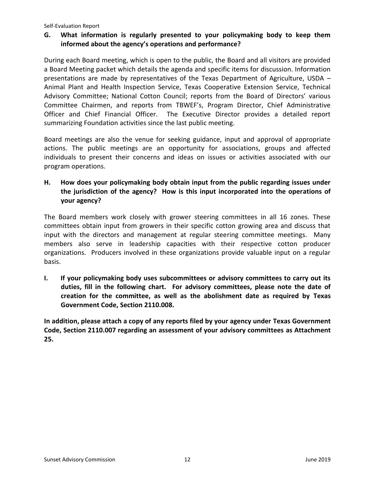## **G. What information is regularly presented to your policymaking body to keep them informed about the agency's operations and performance?**

During each Board meeting, which is open to the public, the Board and all visitors are provided a Board Meeting packet which details the agenda and specific items for discussion. Information presentations are made by representatives of the Texas Department of Agriculture, USDA – Animal Plant and Health Inspection Service, Texas Cooperative Extension Service, Technical Advisory Committee; National Cotton Council; reports from the Board of Directors' various Committee Chairmen, and reports from TBWEF's, Program Director, Chief Administrative Officer and Chief Financial Officer. The Executive Director provides a detailed report summarizing Foundation activities since the last public meeting.

Board meetings are also the venue for seeking guidance, input and approval of appropriate actions. The public meetings are an opportunity for associations, groups and affected individuals to present their concerns and ideas on issues or activities associated with our program operations.

**H. How does your policymaking body obtain input from the public regarding issues under the jurisdiction of the agency? How is this input incorporated into the operations of your agency?**

The Board members work closely with grower steering committees in all 16 zones. These committees obtain input from growers in their specific cotton growing area and discuss that input with the directors and management at regular steering committee meetings. Many members also serve in leadership capacities with their respective cotton producer organizations. Producers involved in these organizations provide valuable input on a regular basis.

**I. If your policymaking body uses subcommittees or advisory committees to carry out its duties, fill in the following chart. For advisory committees, please note the date of creation for the committee, as well as the abolishment date as required by Texas Government Code, Section 2110.008.**

**In addition, please attach a copy of any reports filed by your agency under Texas Government Code, Section 2110.007 regarding an assessment of your advisory committees as Attachment 25.**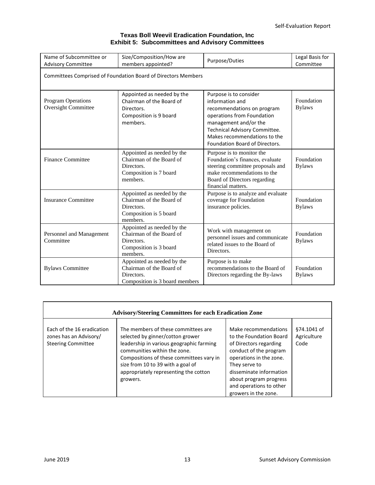#### **Texas Boll Weevil Eradication Foundation, Inc Exhibit 5: Subcommittees and Advisory Committees**

| Name of Subcommittee or<br><b>Advisory Committee</b>    | Size/Composition/How are<br>Purpose/Duties<br>members appointed?                                           |                                                                                                                                                                                                                                   | Legal Basis for<br>Committee |  |  |  |  |
|---------------------------------------------------------|------------------------------------------------------------------------------------------------------------|-----------------------------------------------------------------------------------------------------------------------------------------------------------------------------------------------------------------------------------|------------------------------|--|--|--|--|
|                                                         | Committees Comprised of Foundation Board of Directors Members                                              |                                                                                                                                                                                                                                   |                              |  |  |  |  |
| <b>Program Operations</b><br><b>Oversight Committee</b> | Appointed as needed by the<br>Chairman of the Board of<br>Directors.<br>Composition is 9 board<br>members. | Purpose is to consider<br>information and<br>recommendations on program<br>operations from Foundation<br>management and/or the<br>Technical Advisory Committee.<br>Makes recommendations to the<br>Foundation Board of Directors. | Foundation<br><b>Bylaws</b>  |  |  |  |  |
| <b>Finance Committee</b>                                | Appointed as needed by the<br>Chairman of the Board of<br>Directors.<br>Composition is 7 board<br>members. | Purpose is to monitor the<br>Foundation's finances, evaluate<br>steering committee proposals and<br>make recommendations to the<br>Board of Directors regarding<br>financial matters.                                             | Foundation<br><b>Bylaws</b>  |  |  |  |  |
| <b>Insurance Committee</b>                              | Appointed as needed by the<br>Chairman of the Board of<br>Directors.<br>Composition is 5 board<br>members. | Purpose is to analyze and evaluate<br>coverage for Foundation<br>insurance policies.                                                                                                                                              | Foundation<br><b>Bylaws</b>  |  |  |  |  |
| Personnel and Management<br>Committee                   | Appointed as needed by the<br>Chairman of the Board of<br>Directors.<br>Composition is 3 board<br>members. | Work with management on<br>personnel issues and communicate<br>related issues to the Board of<br>Directors.                                                                                                                       | Foundation<br><b>Bylaws</b>  |  |  |  |  |
| <b>Bylaws Committee</b>                                 | Appointed as needed by the<br>Chairman of the Board of<br>Directors.<br>Composition is 3 board members     | Purpose is to make<br>recommendations to the Board of<br>Directors regarding the By-laws                                                                                                                                          | Foundation<br><b>Bylaws</b>  |  |  |  |  |

| <b>Advisory/Steering Committees for each Eradication Zone</b>                     |                                                                                                                                                                                                                                                                                           |                                                                                                                                                                                                                                                         |                                    |  |  |  |
|-----------------------------------------------------------------------------------|-------------------------------------------------------------------------------------------------------------------------------------------------------------------------------------------------------------------------------------------------------------------------------------------|---------------------------------------------------------------------------------------------------------------------------------------------------------------------------------------------------------------------------------------------------------|------------------------------------|--|--|--|
| Each of the 16 eradication<br>zones has an Advisory/<br><b>Steering Committee</b> | The members of these committees are<br>selected by ginner/cotton grower<br>leadership in various geographic farming<br>communities within the zone.<br>Compositions of these committees vary in<br>size from 10 to 39 with a goal of<br>appropriately representing the cotton<br>growers. | Make recommendations<br>to the Foundation Board<br>of Directors regarding<br>conduct of the program<br>operations in the zone.<br>They serve to<br>disseminate information<br>about program progress<br>and operations to other<br>growers in the zone. | §74.1041 of<br>Agriculture<br>Code |  |  |  |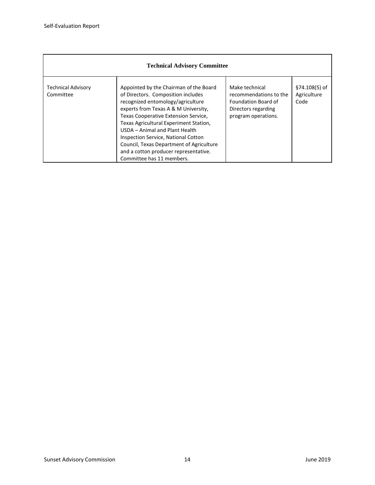<span id="page-15-0"></span>

| <b>Technical Advisory Committee</b>    |                                                                                                                                                                                                                                                                                                                                                                                                                                               |                                                                                                               |                                      |  |  |
|----------------------------------------|-----------------------------------------------------------------------------------------------------------------------------------------------------------------------------------------------------------------------------------------------------------------------------------------------------------------------------------------------------------------------------------------------------------------------------------------------|---------------------------------------------------------------------------------------------------------------|--------------------------------------|--|--|
| <b>Technical Advisory</b><br>Committee | Appointed by the Chairman of the Board<br>of Directors. Composition includes<br>recognized entomology/agriculture<br>experts from Texas A & M University,<br>Texas Cooperative Extension Service,<br>Texas Agricultural Experiment Station,<br>USDA - Animal and Plant Health<br><b>Inspection Service, National Cotton</b><br>Council, Texas Department of Agriculture<br>and a cotton producer representative.<br>Committee has 11 members. | Make technical<br>recommendations to the<br>Foundation Board of<br>Directors regarding<br>program operations. | §74.108(5) of<br>Agriculture<br>Code |  |  |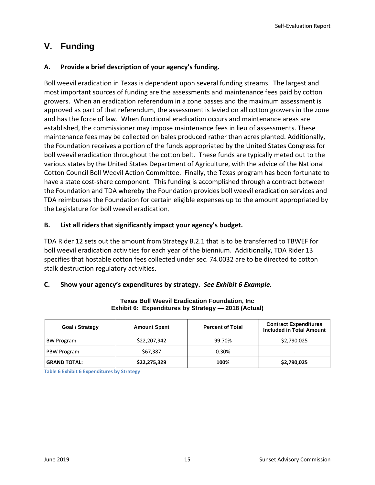## **V. Funding**

## **A. Provide a brief description of your agency's funding.**

Boll weevil eradication in Texas is dependent upon several funding streams. The largest and most important sources of funding are the assessments and maintenance fees paid by cotton growers. When an eradication referendum in a zone passes and the maximum assessment is approved as part of that referendum, the assessment is levied on all cotton growers in the zone and has the force of law. When functional eradication occurs and maintenance areas are established, the commissioner may impose maintenance fees in lieu of assessments. These maintenance fees may be collected on bales produced rather than acres planted. Additionally, the Foundation receives a portion of the funds appropriated by the United States Congress for boll weevil eradication throughout the cotton belt. These funds are typically meted out to the various states by the United States Department of Agriculture, with the advice of the National Cotton Council Boll Weevil Action Committee. Finally, the Texas program has been fortunate to have a state cost-share component. This funding is accomplished through a contract between the Foundation and TDA whereby the Foundation provides boll weevil eradication services and TDA reimburses the Foundation for certain eligible expenses up to the amount appropriated by the Legislature for boll weevil eradication.

### **B. List all riders that significantly impact your agency's budget.**

TDA Rider 12 sets out the amount from Strategy B.2.1 that is to be transferred to TBWEF for boll weevil eradication activities for each year of the biennium. Additionally, TDA Rider 13 specifies that hostable cotton fees collected under sec. 74.0032 are to be directed to cotton stalk destruction regulatory activities.

### **C. Show your agency's expenditures by strategy.** *See Exhibit 6 Example.*

| <b>Goal / Strategy</b> | <b>Amount Spent</b> | <b>Percent of Total</b> | <b>Contract Expenditures</b><br><b>Included in Total Amount</b> |
|------------------------|---------------------|-------------------------|-----------------------------------------------------------------|
| <b>BW Program</b>      | \$22,207,942        | 99.70%                  | \$2,790,025                                                     |
| PBW Program            | \$67,387            | 0.30%                   | $\overline{\phantom{0}}$                                        |
| <b>GRAND TOTAL:</b>    | \$22,275,329        | 100%                    | \$2,790,025                                                     |

#### **Texas Boll Weevil Eradication Foundation, Inc Exhibit 6: Expenditures by Strategy — 2018 (Actual)**

**Table 6 Exhibit 6 Expenditures by Strategy**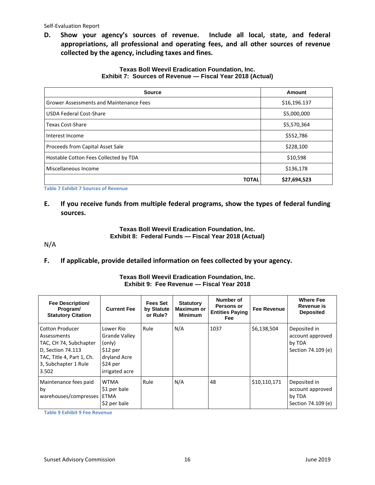**D. Show your agency's sources of revenue. Include all local, state, and federal appropriations, all professional and operating fees, and all other sources of revenue collected by the agency, including taxes and fines.** 

#### **Texas Boll Weevil Eradication Foundation, Inc. Exhibit 7: Sources of Revenue — Fiscal Year 2018 (Actual)**

| <b>Source</b>                                  | Amount       |
|------------------------------------------------|--------------|
| <b>Grower Assessments and Maintenance Fees</b> | \$16,196.137 |
| <b>USDA Federal Cost-Share</b>                 | \$5,000,000  |
| Texas Cost-Share                               | \$5,570,364  |
| Interest Income                                | \$552,786    |
| Proceeds from Capital Asset Sale               | \$228,100    |
| Hostable Cotton Fees Collected by TDA          | \$10,598     |
| Miscellaneous Income                           | \$136,178    |
| <b>TOTAL</b>                                   | \$27,694,523 |

**Table 7 Exhibit 7 Sources of Revenue**

**E. If you receive funds from multiple federal programs, show the types of federal funding sources.** 

#### **Texas Boll Weevil Eradication Foundation, Inc. Exhibit 8: Federal Funds — Fiscal Year 2018 (Actual)**

N/A

**F. If applicable, provide detailed information on fees collected by your agency.** 

#### **Texas Boll Weevil Eradication Foundation, Inc. Exhibit 9: Fee Revenue — Fiscal Year 2018**

| <b>Fee Description/</b><br>Program/<br><b>Statutory Citation</b>                                                                                   | <b>Current Fee</b>                                                                                     | <b>Fees Set</b><br>by Statute<br>or Rule? | <b>Statutory</b><br><b>Maximum or</b><br><b>Minimum</b> | Number of<br>Persons or<br><b>Entities Paying</b><br>Fee | <b>Fee Revenue</b> | <b>Where Fee</b><br>Revenue is<br><b>Deposited</b>               |
|----------------------------------------------------------------------------------------------------------------------------------------------------|--------------------------------------------------------------------------------------------------------|-------------------------------------------|---------------------------------------------------------|----------------------------------------------------------|--------------------|------------------------------------------------------------------|
| <b>Cotton Producer</b><br>Assessments<br>TAC, CH 74, Subchapter<br>D. Section 74.113<br>TAC, Title 4, Part 1, Ch.<br>3, Subchapter 1 Rule<br>3.502 | Lower Rio<br><b>Grande Valley</b><br>(only)<br>$$12$ per<br>dryland Acre<br>\$24 per<br>irrigated acre | Rule                                      | N/A                                                     | 1037                                                     | \$6,138,504        | Deposited in<br>account approved<br>by TDA<br>Section 74.109 (e) |
| Maintenance fees paid<br>by<br>warehouses/compresses                                                                                               | <b>WTMA</b><br>\$1 per bale<br>ETMA<br>\$2 per bale                                                    | Rule                                      | N/A                                                     | 48                                                       | \$10,110,171       | Deposited in<br>account approved<br>by TDA<br>Section 74.109 (e) |

<span id="page-17-0"></span>**Table 9 Exhibit 9 Fee Revenue**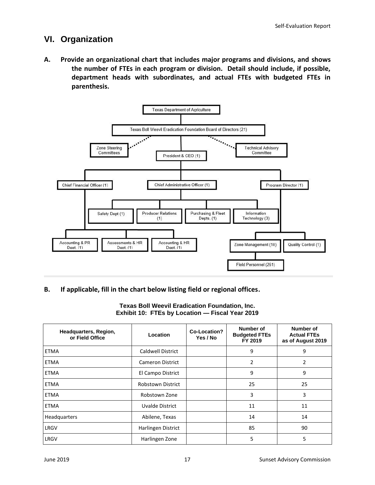## **VI. Organization**

**A. Provide an organizational chart that includes major programs and divisions, and shows the number of FTEs in each program or division. Detail should include, if possible, department heads with subordinates, and actual FTEs with budgeted FTEs in parenthesis.**



### **B. If applicable, fill in the chart below listing field or regional offices.**

#### **Texas Boll Weevil Eradication Foundation, Inc. Exhibit 10: FTEs by Location — Fiscal Year 2019**

| Headquarters, Region,<br>or Field Office | Location                 | Co-Location?<br>Yes / No | <b>Number of</b><br><b>Budgeted FTEs</b><br>FY 2019 | <b>Number of</b><br><b>Actual FTEs</b><br>as of August 2019 |
|------------------------------------------|--------------------------|--------------------------|-----------------------------------------------------|-------------------------------------------------------------|
| <b>ETMA</b>                              | <b>Caldwell District</b> |                          | 9                                                   | 9                                                           |
| <b>ETMA</b>                              | Cameron District         |                          | $\overline{2}$                                      | 2                                                           |
| <b>ETMA</b>                              | El Campo District        |                          | 9                                                   | 9                                                           |
| <b>ETMA</b>                              | <b>Robstown District</b> |                          | 25                                                  | 25                                                          |
| <b>ETMA</b>                              | Robstown Zone            |                          | 3                                                   | 3                                                           |
| <b>ETMA</b>                              | Uvalde District          |                          | 11                                                  | 11                                                          |
| Headquarters                             | Abilene, Texas           |                          | 14                                                  | 14                                                          |
| LRGV                                     | Harlingen District       |                          | 85                                                  | 90                                                          |
| LRGV                                     | Harlingen Zone           |                          | 5                                                   | 5                                                           |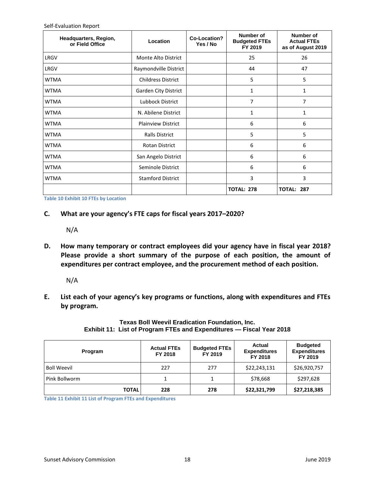| Headquarters, Region,<br>or Field Office | Location                  | Co-Location?<br>Yes / No | Number of<br><b>Budgeted FTEs</b><br>FY 2019 | Number of<br><b>Actual FTEs</b><br>as of August 2019 |  |
|------------------------------------------|---------------------------|--------------------------|----------------------------------------------|------------------------------------------------------|--|
| LRGV                                     | Monte Alto District       |                          | 25                                           | 26                                                   |  |
| LRGV                                     | Raymondville District     |                          | 44                                           | 47                                                   |  |
| <b>WTMA</b>                              | <b>Childress District</b> |                          | 5                                            | 5                                                    |  |
| <b>WTMA</b>                              | Garden City District      |                          |                                              | 1                                                    |  |
| <b>WTMA</b>                              | Lubbock District          |                          | 7                                            | 7                                                    |  |
| <b>WTMA</b>                              | N. Abilene District       |                          | 1                                            | 1                                                    |  |
| <b>WTMA</b>                              | <b>Plainview District</b> |                          | 6                                            | 6                                                    |  |
| <b>WTMA</b>                              | <b>Ralls District</b>     |                          | 5                                            | 5                                                    |  |
| <b>WTMA</b>                              | <b>Rotan District</b>     |                          | 6                                            | 6                                                    |  |
| <b>WTMA</b>                              | San Angelo District       |                          | 6                                            | 6                                                    |  |
| <b>WTMA</b>                              | Seminole District         |                          | 6                                            | 6                                                    |  |
| <b>WTMA</b>                              | <b>Stamford District</b>  |                          | 3                                            | 3                                                    |  |
|                                          |                           |                          | <b>TOTAL: 278</b>                            | <b>TOTAL:</b><br>287                                 |  |

**Table 10 Exhibit 10 FTEs by Location**

**C. What are your agency's FTE caps for fiscal years 2017–2020?**

N/A

**D. How many temporary or contract employees did your agency have in fiscal year 2018? Please provide a short summary of the purpose of each position, the amount of expenditures per contract employee, and the procurement method of each position.**

N/A

**E. List each of your agency's key programs or functions, along with expenditures and FTEs by program.** 

## <span id="page-19-0"></span>**Texas Boll Weevil Eradication Foundation, Inc. Exhibit 11: List of Program FTEs and Expenditures — Fiscal Year 2018**

| Program            | <b>Actual FTEs</b><br>FY 2018 | <b>Budgeted FTEs</b><br>FY 2019 | Actual<br><b>Expenditures</b><br>FY 2018 | <b>Budgeted</b><br><b>Expenditures</b><br>FY 2019 |
|--------------------|-------------------------------|---------------------------------|------------------------------------------|---------------------------------------------------|
| <b>Boll Weevil</b> | 227                           | 277                             | \$22,243,131                             | \$26,920,757                                      |
| Pink Bollworm      |                               | 1                               | \$78,668                                 | \$297,628                                         |
| <b>TOTAL</b>       | 228                           | 278                             | \$22,321,799                             | \$27,218,385                                      |

**Table 11 Exhibit 11 List of Program FTEs and Expenditures**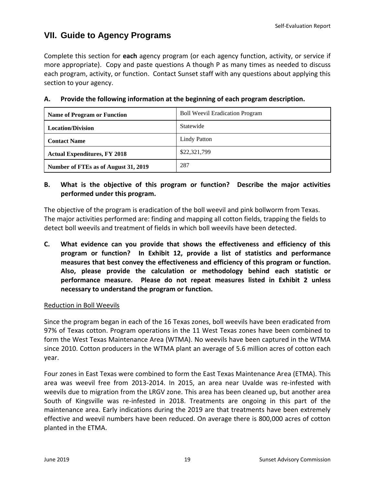## **VII. Guide to Agency Programs**

Complete this section for **each** agency program (or each agency function, activity, or service if more appropriate). Copy and paste questions A though P as many times as needed to discuss each program, activity, or function. Contact Sunset staff with any questions about applying this section to your agency.

| <b>Name of Program or Function</b>   | <b>Boll Weevil Eradication Program</b> |
|--------------------------------------|----------------------------------------|
| <b>Location/Division</b>             | Statewide                              |
| <b>Contact Name</b>                  | <b>Lindy Patton</b>                    |
| <b>Actual Expenditures, FY 2018</b>  | \$22,321,799                           |
| Number of FTEs as of August 31, 2019 | 287                                    |

## **A. Provide the following information at the beginning of each program description.**

## **B. What is the objective of this program or function? Describe the major activities performed under this program.**

The objective of the program is eradication of the boll weevil and pink bollworm from Texas. The major activities performed are: finding and mapping all cotton fields, trapping the fields to detect boll weevils and treatment of fields in which boll weevils have been detected.

**C. What evidence can you provide that shows the effectiveness and efficiency of this program or function? In Exhibit 12, provide a list of statistics and performance measures that best convey the effectiveness and efficiency of this program or function. Also, please provide the calculation or methodology behind each statistic or performance measure. Please do not repeat measures listed in Exhibit 2 unless necessary to understand the program or function.**

### Reduction in Boll Weevils

Since the program began in each of the 16 Texas zones, boll weevils have been eradicated from 97% of Texas cotton. Program operations in the 11 West Texas zones have been combined to form the West Texas Maintenance Area (WTMA). No weevils have been captured in the WTMA since 2010. Cotton producers in the WTMA plant an average of 5.6 million acres of cotton each year.

Four zones in East Texas were combined to form the East Texas Maintenance Area (ETMA). This area was weevil free from 2013-2014. In 2015, an area near Uvalde was re-infested with weevils due to migration from the LRGV zone. This area has been cleaned up, but another area South of Kingsville was re-infested in 2018. Treatments are ongoing in this part of the maintenance area. Early indications during the 2019 are that treatments have been extremely effective and weevil numbers have been reduced. On average there is 800,000 acres of cotton planted in the ETMA.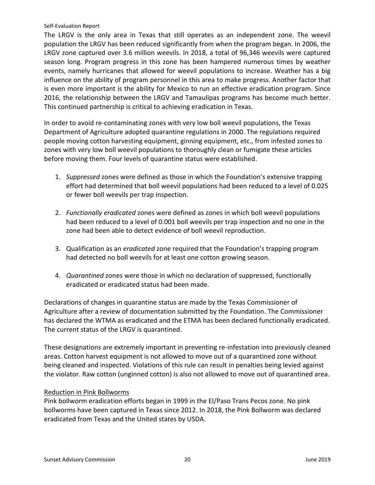The LRGV is the only area in Texas that still operates as an independent zone. The weevil population the LRGV has been reduced significantly from when the program began. In 2006, the LRGV zone captured over 3.6 million weevils. In 2018, a total of 96,346 weevils were captured season long. Program progress in this zone has been hampered numerous times by weather events, namely hurricanes that allowed for weevil populations to increase. Weather has a big influence on the ability of program personnel in this area to make progress. Another factor that is even more important is the ability for Mexico to run an effective eradication program. Since 2016, the relationship between the LRGV and Tamaulipas programs has become much better. This continued partnership is critical to achieving eradication in Texas.

In order to avoid re-contaminating zones with very low boll weevil populations, the Texas Department of Agriculture adopted quarantine regulations in 2000. The regulations required people moving cotton harvesting equipment, ginning equipment, etc., from infested zones to zones with very low boll weevil populations to thoroughly clean or fumigate these articles before moving them. Four levels of quarantine status were established.

- 1. *Suppressed* zones were defined as those in which the Foundation's extensive trapping effort had determined that boll weevil populations had been reduced to a level of 0.025 or fewer boll weevils per trap inspection.
- 2. *Functionally eradicated* zones were defined as zones in which boll weevil populations had been reduced to a level of 0.001 boll weevils per trap inspection and no one in the zone had been able to detect evidence of boll weevil reproduction.
- 3. Qualification as an *eradicated* zone required that the Foundation's trapping program had detected no boll weevils for at least one cotton growing season.
- 4. *Quarantined* zones were those in which no declaration of suppressed, functionally eradicated or eradicated status had been made.

Declarations of changes in quarantine status are made by the Texas Commissioner of Agriculture after a review of documentation submitted by the Foundation. The Commissioner has declared the WTMA as eradicated and the ETMA has been declared functionally eradicated. The current status of the LRGV is quarantined.

These designations are extremely important in preventing re-infestation into previously cleaned areas. Cotton harvest equipment is not allowed to move out of a quarantined zone without being cleaned and inspected. Violations of this rule can result in penalties being levied against the violator. Raw cotton (unginned cotton) is also not allowed to move out of quarantined area.

### Reduction in Pink Bollworms

Pink bollworm eradication efforts began in 1999 in the El/Paso Trans Pecos zone. No pink bollworms have been captured in Texas since 2012. In 2018, the Pink Bollworm was declared eradicated from Texas and the United states by USDA.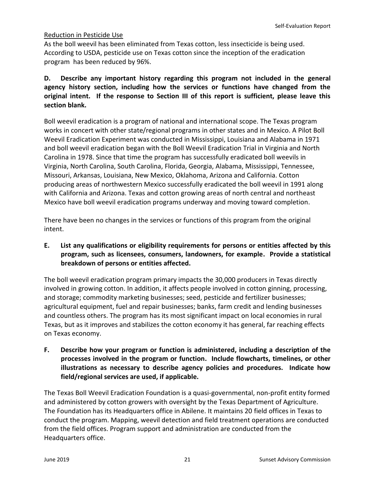### Reduction in Pesticide Use

As the boll weevil has been eliminated from Texas cotton, less insecticide is being used. According to USDA, pesticide use on Texas cotton since the inception of the eradication program has been reduced by 96%.

## **D. Describe any important history regarding this program not included in the general agency history section, including how the services or functions have changed from the original intent. If the response to Section III of this report is sufficient, please leave this section blank.**

Boll weevil eradication is a program of national and international scope. The Texas program works in concert with other state/regional programs in other states and in Mexico. A Pilot Boll Weevil Eradication Experiment was conducted in Mississippi, Louisiana and Alabama in 1971 and boll weevil eradication began with the Boll Weevil Eradication Trial in Virginia and North Carolina in 1978. Since that time the program has successfully eradicated boll weevils in Virginia, North Carolina, South Carolina, Florida, Georgia, Alabama, Mississippi, Tennessee, Missouri, Arkansas, Louisiana, New Mexico, Oklahoma, Arizona and California. Cotton producing areas of northwestern Mexico successfully eradicated the boll weevil in 1991 along with California and Arizona. Texas and cotton growing areas of north central and northeast Mexico have boll weevil eradication programs underway and moving toward completion.

There have been no changes in the services or functions of this program from the original intent.

**E. List any qualifications or eligibility requirements for persons or entities affected by this program, such as licensees, consumers, landowners, for example. Provide a statistical breakdown of persons or entities affected.**

The boll weevil eradication program primary impacts the 30,000 producers in Texas directly involved in growing cotton. In addition, it affects people involved in cotton ginning, processing, and storage; commodity marketing businesses; seed, pesticide and fertilizer businesses; agricultural equipment, fuel and repair businesses; banks, farm credit and lending businesses and countless others. The program has its most significant impact on local economies in rural Texas, but as it improves and stabilizes the cotton economy it has general, far reaching effects on Texas economy.

**F. Describe how your program or function is administered, including a description of the processes involved in the program or function. Include flowcharts, timelines, or other illustrations as necessary to describe agency policies and procedures. Indicate how field/regional services are used, if applicable.**

The Texas Boll Weevil Eradication Foundation is a quasi-governmental, non-profit entity formed and administered by cotton growers with oversight by the Texas Department of Agriculture. The Foundation has its Headquarters office in Abilene. It maintains 20 field offices in Texas to conduct the program. Mapping, weevil detection and field treatment operations are conducted from the field offices. Program support and administration are conducted from the Headquarters office.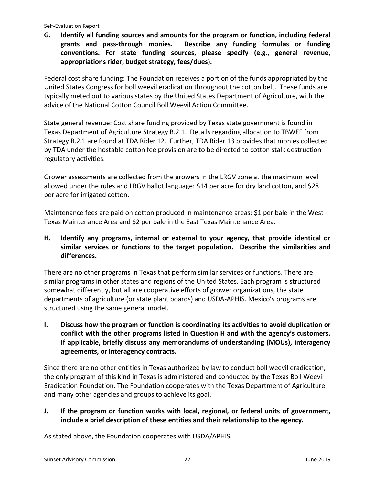**G. Identify all funding sources and amounts for the program or function, including federal grants and pass-through monies. Describe any funding formulas or funding conventions. For state funding sources, please specify (e.g., general revenue, appropriations rider, budget strategy, fees/dues).**

Federal cost share funding: The Foundation receives a portion of the funds appropriated by the United States Congress for boll weevil eradication throughout the cotton belt. These funds are typically meted out to various states by the United States Department of Agriculture, with the advice of the National Cotton Council Boll Weevil Action Committee.

State general revenue: Cost share funding provided by Texas state government is found in Texas Department of Agriculture Strategy B.2.1. Details regarding allocation to TBWEF from Strategy B.2.1 are found at TDA Rider 12. Further, TDA Rider 13 provides that monies collected by TDA under the hostable cotton fee provision are to be directed to cotton stalk destruction regulatory activities.

Grower assessments are collected from the growers in the LRGV zone at the maximum level allowed under the rules and LRGV ballot language: \$14 per acre for dry land cotton, and \$28 per acre for irrigated cotton.

Maintenance fees are paid on cotton produced in maintenance areas: \$1 per bale in the West Texas Maintenance Area and \$2 per bale in the East Texas Maintenance Area.

## **H. Identify any programs, internal or external to your agency, that provide identical or similar services or functions to the target population. Describe the similarities and differences.**

There are no other programs in Texas that perform similar services or functions. There are similar programs in other states and regions of the United States. Each program is structured somewhat differently, but all are cooperative efforts of grower organizations, the state departments of agriculture (or state plant boards) and USDA-APHIS. Mexico's programs are structured using the same general model.

**I. Discuss how the program or function is coordinating its activities to avoid duplication or conflict with the other programs listed in Question H and with the agency's customers. If applicable, briefly discuss any memorandums of understanding (MOUs), interagency agreements, or interagency contracts.**

Since there are no other entities in Texas authorized by law to conduct boll weevil eradication, the only program of this kind in Texas is administered and conducted by the Texas Boll Weevil Eradication Foundation. The Foundation cooperates with the Texas Department of Agriculture and many other agencies and groups to achieve its goal.

## **J. If the program or function works with local, regional, or federal units of government, include a brief description of these entities and their relationship to the agency.**

As stated above, the Foundation cooperates with USDA/APHIS.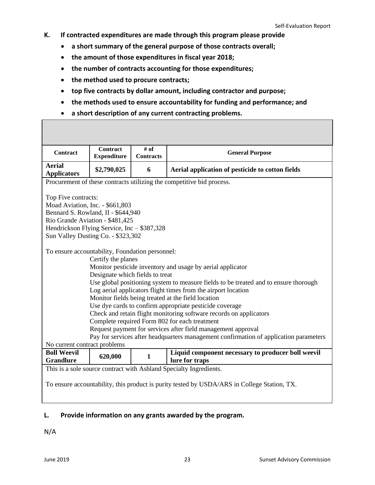- **K. If contracted expenditures are made through this program please provide**
	- **a short summary of the general purpose of those contracts overall;**
	- **the amount of those expenditures in fiscal year 2018;**
	- **the number of contracts accounting for those expenditures;**
	- **the method used to procure contracts;**
	- **top five contracts by dollar amount, including contractor and purpose;**
	- **the methods used to ensure accountability for funding and performance; and**
	- **a short description of any current contracting problems.**

| Contract                                                                                                                                                                                                                                                                                                                                                                                                                                                                                                                                                                                                                                | <b>Contract</b><br><b>Expenditure</b> | # of<br><b>Contracts</b> | <b>General Purpose</b>                                                                      |  |  |  |
|-----------------------------------------------------------------------------------------------------------------------------------------------------------------------------------------------------------------------------------------------------------------------------------------------------------------------------------------------------------------------------------------------------------------------------------------------------------------------------------------------------------------------------------------------------------------------------------------------------------------------------------------|---------------------------------------|--------------------------|---------------------------------------------------------------------------------------------|--|--|--|
| <b>Aerial</b><br><b>Applicators</b>                                                                                                                                                                                                                                                                                                                                                                                                                                                                                                                                                                                                     | \$2,790,025                           | 6                        | Aerial application of pesticide to cotton fields                                            |  |  |  |
| Procurement of these contracts utilizing the competitive bid process.                                                                                                                                                                                                                                                                                                                                                                                                                                                                                                                                                                   |                                       |                          |                                                                                             |  |  |  |
| Top Five contracts:<br>Moad Aviation, Inc. - \$661,803<br>Bennard S. Rowland, II - \$644,940<br>Rio Grande Aviation - \$481,425<br>Hendrickson Flying Service, Inc - \$387,328<br>Sun Valley Dusting Co. - \$323,302                                                                                                                                                                                                                                                                                                                                                                                                                    |                                       |                          |                                                                                             |  |  |  |
| To ensure accountability, Foundation personnel:<br>Certify the planes<br>Monitor pesticide inventory and usage by aerial applicator<br>Designate which fields to treat<br>Use global positioning system to measure fields to be treated and to ensure thorough<br>Log aerial applicators flight times from the airport location<br>Monitor fields being treated at the field location<br>Use dye cards to confirm appropriate pesticide coverage<br>Check and retain flight monitoring software records on applicators<br>Complete required Form 802 for each treatment<br>Request payment for services after field management approval |                                       |                          |                                                                                             |  |  |  |
| Pay for services after headquarters management confirmation of application parameters<br>No current contract problems                                                                                                                                                                                                                                                                                                                                                                                                                                                                                                                   |                                       |                          |                                                                                             |  |  |  |
| <b>Boll Weevil</b><br><b>Grandlure</b>                                                                                                                                                                                                                                                                                                                                                                                                                                                                                                                                                                                                  | 620,000                               | $\mathbf{1}$             | Liquid component necessary to producer boll weevil<br>lure for traps                        |  |  |  |
|                                                                                                                                                                                                                                                                                                                                                                                                                                                                                                                                                                                                                                         |                                       |                          | This is a sole source contract with Ashland Specialty Ingredients.                          |  |  |  |
|                                                                                                                                                                                                                                                                                                                                                                                                                                                                                                                                                                                                                                         |                                       |                          | To ensure accountability, this product is purity tested by USDA/ARS in College Station, TX. |  |  |  |

## **L. Provide information on any grants awarded by the program.**

N/A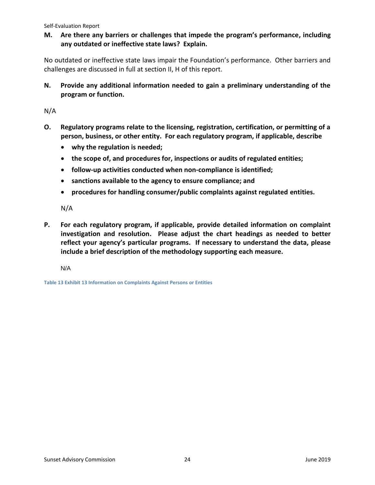**M. Are there any barriers or challenges that impede the program's performance, including any outdated or ineffective state laws? Explain.**

No outdated or ineffective state laws impair the Foundation's performance. Other barriers and challenges are discussed in full at section II, H of this report.

**N. Provide any additional information needed to gain a preliminary understanding of the program or function.**

N/A

- **O. Regulatory programs relate to the licensing, registration, certification, or permitting of a person, business, or other entity. For each regulatory program, if applicable, describe**
	- **why the regulation is needed;**
	- **the scope of, and procedures for, inspections or audits of regulated entities;**
	- **follow-up activities conducted when non-compliance is identified;**
	- **sanctions available to the agency to ensure compliance; and**
	- **procedures for handling consumer/public complaints against regulated entities.**

N/A

**P. For each regulatory program, if applicable, provide detailed information on complaint investigation and resolution. Please adjust the chart headings as needed to better reflect your agency's particular programs. If necessary to understand the data, please include a brief description of the methodology supporting each measure.**

N/A

<span id="page-25-0"></span>**Table 13 Exhibit 13 Information on Complaints Against Persons or Entities**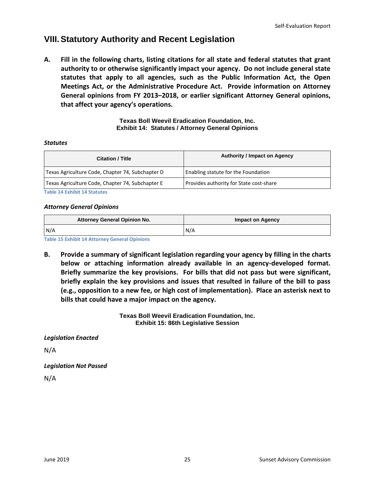## **VIII.Statutory Authority and Recent Legislation**

**A. Fill in the following charts, listing citations for all state and federal statutes that grant authority to or otherwise significantly impact your agency. Do not include general state statutes that apply to all agencies, such as the Public Information Act, the Open Meetings Act, or the Administrative Procedure Act. Provide information on Attorney General opinions from FY 2013–2018, or earlier significant Attorney General opinions, that affect your agency's operations.**

> **Texas Boll Weevil Eradication Foundation, Inc. Exhibit 14: Statutes / Attorney General Opinions**

#### *Statutes*

| <b>Citation / Title</b>                          | <b>Authority / Impact on Agency</b>     |  |  |
|--------------------------------------------------|-----------------------------------------|--|--|
| Texas Agriculture Code, Chapter 74, Subchapter D | Enabling statute for the Foundation     |  |  |
| Texas Agriculture Code, Chapter 74, Subchapter E | Provides authority for State cost-share |  |  |

**Table 14 Exhibit 14 Statutes**

#### *Attorney General Opinions*

| <b>Attorney General Opinion No.</b> | <b>Impact on Agency</b> |  |  |
|-------------------------------------|-------------------------|--|--|
| N/A                                 | N/A                     |  |  |

**Table 15 Exhibit 14 Attorney General Opinions**

**B. Provide a summary of significant legislation regarding your agency by filling in the charts below or attaching information already available in an agency-developed format. Briefly summarize the key provisions. For bills that did not pass but were significant, briefly explain the key provisions and issues that resulted in failure of the bill to pass (e.g., opposition to a new fee, or high cost of implementation). Place an asterisk next to bills that could have a major impact on the agency.** 

> **Texas Boll Weevil Eradication Foundation, Inc. Exhibit 15: 86th Legislative Session**

*Legislation Enacted*

N/A

*Legislation Not Passed*

<span id="page-26-0"></span>N/A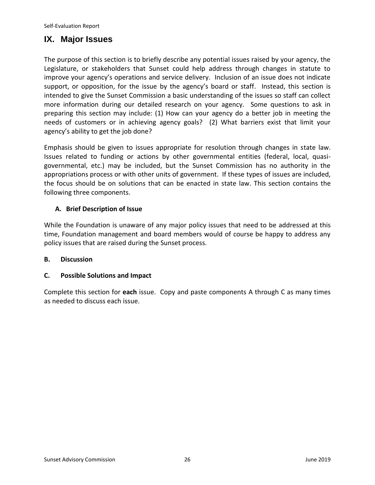## **IX. Major Issues**

The purpose of this section is to briefly describe any potential issues raised by your agency, the Legislature, or stakeholders that Sunset could help address through changes in statute to improve your agency's operations and service delivery. Inclusion of an issue does not indicate support, or opposition, for the issue by the agency's board or staff. Instead, this section is intended to give the Sunset Commission a basic understanding of the issues so staff can collect more information during our detailed research on your agency. Some questions to ask in preparing this section may include: (1) How can your agency do a better job in meeting the needs of customers or in achieving agency goals? (2) What barriers exist that limit your agency's ability to get the job done?

Emphasis should be given to issues appropriate for resolution through changes in state law. Issues related to funding or actions by other governmental entities (federal, local, quasigovernmental, etc.) may be included, but the Sunset Commission has no authority in the appropriations process or with other units of government. If these types of issues are included, the focus should be on solutions that can be enacted in state law. This section contains the following three components.

## **A. Brief Description of Issue**

While the Foundation is unaware of any major policy issues that need to be addressed at this time, Foundation management and board members would of course be happy to address any policy issues that are raised during the Sunset process.

### **B. Discussion**

### **C. Possible Solutions and Impact**

<span id="page-27-0"></span>Complete this section for **each** issue. Copy and paste components A through C as many times as needed to discuss each issue.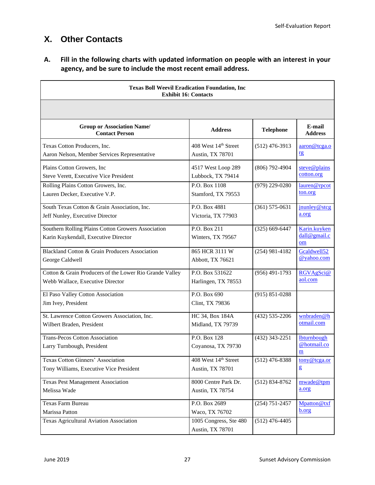## **X. Other Contacts**

**A. Fill in the following charts with updated information on people with an interest in your agency, and be sure to include the most recent email address.**

| <b>Texas Boll Weevil Eradication Foundation, Inc</b><br><b>Exhibit 16: Contacts</b>        |                                            |                    |                                                               |  |  |  |
|--------------------------------------------------------------------------------------------|--------------------------------------------|--------------------|---------------------------------------------------------------|--|--|--|
|                                                                                            |                                            |                    |                                                               |  |  |  |
| <b>Group or Association Name/</b><br><b>Contact Person</b>                                 | <b>Address</b>                             | <b>Telephone</b>   | E-mail<br><b>Address</b>                                      |  |  |  |
| Texas Cotton Producers, Inc.                                                               | 408 West 14th Street                       | $(512)$ 476-3913   | aaron@tcga.o                                                  |  |  |  |
| Aaron Nelson, Member Services Representative                                               | Austin, TX 78701                           |                    | <u>rg</u>                                                     |  |  |  |
| Plains Cotton Growers, Inc.                                                                | 4517 West Loop 289                         | (806) 792-4904     | steve@plains                                                  |  |  |  |
| <b>Steve Verett, Executive Vice President</b>                                              | Lubbock, TX 79414                          |                    | cotton.org                                                    |  |  |  |
| Rolling Plains Cotton Growers, Inc.                                                        | P.O. Box 1108                              | (979) 229-0280     | lauren@rpcot                                                  |  |  |  |
| Lauren Decker, Executive V.P.                                                              | Stamford, TX 79553                         |                    | ton.org                                                       |  |  |  |
| South Texas Cotton & Grain Association, Inc.                                               | P.O. Box 4881                              | $(361) 575 - 0631$ | jnunley@stcg                                                  |  |  |  |
| Jeff Nunley, Executive Director                                                            | Victoria, TX 77903                         |                    | a.org                                                         |  |  |  |
| Southern Rolling Plains Cotton Growers Association<br>Karin Kuykendall, Executive Director | P.O. Box 211<br>Winters, TX 79567          | $(325) 669 - 6447$ | Karin.kuyken<br>$d$ all@gmail.c<br>om                         |  |  |  |
| Blackland Cotton & Grain Producers Association                                             | 865 HCR 3111 W                             | $(254)$ 981-4182   | Gcaldwell52                                                   |  |  |  |
| George Caldwell                                                                            | Abbott, TX 76621                           |                    | @yahoo.com                                                    |  |  |  |
| Cotton & Grain Producers of the Lower Rio Grande Valley                                    | P.O. Box 531622                            | $(956)$ 491-1793   | RGVAgSci@                                                     |  |  |  |
| Webb Wallace, Executive Director                                                           | Harlingen, TX 78553                        |                    | aol.com                                                       |  |  |  |
| El Paso Valley Cotton Association<br>Jim Ivey, President                                   | P.O. Box 690<br>Clint, TX 79836            | $(915) 851 - 0288$ |                                                               |  |  |  |
| St. Lawrence Cotton Growers Association, Inc.                                              | HC 34, Box 184A                            | $(432) 535 - 2206$ | wnbraden@h                                                    |  |  |  |
| Wilbert Braden, President                                                                  | Midland, TX 79739                          |                    | otmail.com                                                    |  |  |  |
| <b>Trans-Pecos Cotton Association</b><br>Larry Turnbough, President                        | P.O. Box 128<br>Coyanosa, TX 79730         | $(432)$ 343-2251   | <b>lbturnbough</b><br>@hotmail.co<br>$\underline{\mathbf{m}}$ |  |  |  |
| Texas Cotton Ginners' Association                                                          | 408 West 14th Street                       | $(512)$ 476-8388   | tony@tcga.or                                                  |  |  |  |
| Tony Williams, Executive Vice President                                                    | Austin, TX 78701                           |                    | $\mathbf{g}$                                                  |  |  |  |
| <b>Texas Pest Management Association</b>                                                   | 8000 Centre Park Dr.                       | $(512) 834 - 8762$ | mwade@tpm                                                     |  |  |  |
| Melissa Wade                                                                               | Austin, TX 78754                           |                    | a.org                                                         |  |  |  |
| Texas Farm Bureau                                                                          | P.O. Box 2689                              | $(254)$ 751-2457   | Mpatton@txf                                                   |  |  |  |
| Marissa Patton                                                                             | Waco, TX 76702                             |                    | b.org                                                         |  |  |  |
| <b>Texas Agricultural Aviation Association</b>                                             | 1005 Congress, Ste 480<br>Austin, TX 78701 | $(512)$ 476-4405   |                                                               |  |  |  |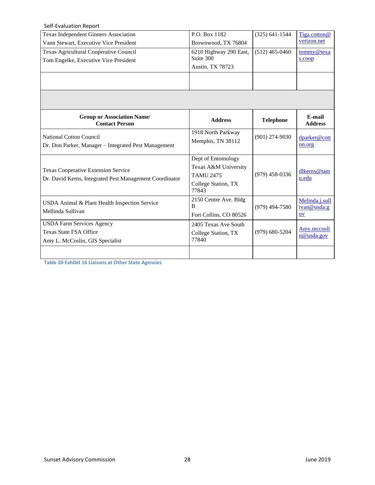| Self-Evaluation Report                                                                 |                                         |                    |                           |
|----------------------------------------------------------------------------------------|-----------------------------------------|--------------------|---------------------------|
| Texas Independent Ginners Association                                                  | P.O. Box 1182                           | $(325) 641 - 1544$ | Tiga.cotton@              |
| Vann Stewart, Executive Vice President                                                 | Brownwood, TX 76804                     |                    | verizon.net               |
| Texas Agricultural Cooperative Council                                                 | 6210 Highway 290 East,                  | $(512)$ 465-0460   | tommy@texa                |
| Tom Engelke, Executive Vice President                                                  | Suite 300                               |                    | s.coop                    |
|                                                                                        | Austin, TX 78723                        |                    |                           |
|                                                                                        |                                         |                    |                           |
|                                                                                        |                                         |                    |                           |
|                                                                                        |                                         |                    |                           |
| <b>Group or Association Name/</b><br><b>Contact Person</b>                             | <b>Address</b>                          | <b>Telephone</b>   | E-mail<br><b>Address</b>  |
| <b>National Cotton Council</b><br>Dr. Don Parker, Manager - Integrated Pest Management | 1918 North Parkway<br>Memphis, TN 38112 | $(901)$ 274-9030   | dparker@cott<br>on.org    |
|                                                                                        | Dept of Entomology                      |                    |                           |
|                                                                                        | Texas A&M University                    |                    |                           |
| <b>Texas Cooperative Extension Service</b>                                             | <b>TAMU 2475</b>                        | $(979)$ 458-0336   | dlkerns@tam<br>u.edu      |
| Dr. David Kerns, Integrated Pest Management Coordinator                                | College Station, TX<br>77843            |                    |                           |
|                                                                                        | 2150 Centre Ave. Bldg                   |                    | Melinda.j.sull            |
|                                                                                        |                                         |                    |                           |
| USDA Animal & Plant Health Inspection Service                                          | B                                       | $(979)$ 494-7580   | ivan@usda.g               |
| Mellinda Sullivan                                                                      | Fort Collins, CO 80526                  |                    | $ov$                      |
| <b>USDA Farm Services Agency</b>                                                       | 2405 Texas Ave South                    |                    |                           |
| <b>Texas State FSA Office</b>                                                          | College Station, TX                     | $(979)$ 680-5204   | Amy.mccosli<br>n@usda.gov |
| Amy L. McCoslin, GIS Specialist                                                        | 77840                                   |                    |                           |

<span id="page-29-0"></span>**Table 20 Exhibit 16 Liaisons at Other State Agencies**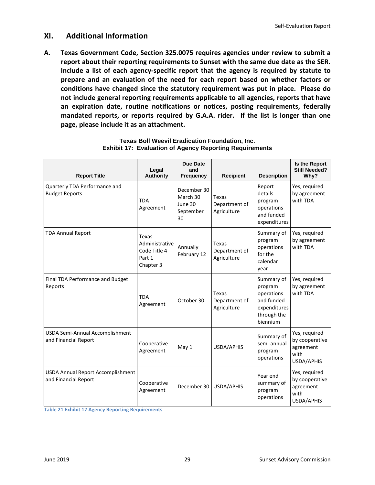## **XI. Additional Information**

**A. Texas Government Code, Section 325.0075 requires agencies under review to submit a report about their reporting requirements to Sunset with the same due date as the SER. Include a list of each agency-specific report that the agency is required by statute to prepare and an evaluation of the need for each report based on whether factors or conditions have changed since the statutory requirement was put in place. Please do not include general reporting requirements applicable to all agencies, reports that have an expiration date, routine notifications or notices, posting requirements, federally mandated reports, or reports required by G.A.A. rider. If the list is longer than one page, please include it as an attachment.**

| <b>Report Title</b>                                              | Legal<br><b>Authority</b>                                      | <b>Due Date</b><br>and<br><b>Frequency</b>            | <b>Recipient</b>                             | <b>Description</b>                                                                           | Is the Report<br><b>Still Needed?</b><br>Why?                      |
|------------------------------------------------------------------|----------------------------------------------------------------|-------------------------------------------------------|----------------------------------------------|----------------------------------------------------------------------------------------------|--------------------------------------------------------------------|
| Quarterly TDA Performance and<br><b>Budget Reports</b>           | <b>TDA</b><br>Agreement                                        | December 30<br>March 30<br>June 30<br>September<br>30 | Texas<br>Department of<br>Agriculture        | Report<br>details<br>program<br>operations<br>and funded<br>expenditures                     | Yes, required<br>by agreement<br>with TDA                          |
| <b>TDA Annual Report</b>                                         | Texas<br>Administrative<br>Code Title 4<br>Part 1<br>Chapter 3 | Annually<br>February 12                               | <b>Texas</b><br>Department of<br>Agriculture | Summary of<br>program<br>operations<br>for the<br>calendar<br>year                           | Yes, required<br>by agreement<br>with TDA                          |
| Final TDA Performance and Budget<br>Reports                      | <b>TDA</b><br>Agreement                                        | October 30                                            | <b>Texas</b><br>Department of<br>Agriculture | Summary of<br>program<br>operations<br>and funded<br>expenditures<br>through the<br>biennium | Yes, required<br>by agreement<br>with TDA                          |
| USDA Semi-Annual Accomplishment<br>and Financial Report          | Cooperative<br>Agreement                                       | May 1                                                 | USDA/APHIS                                   | Summary of<br>semi-annual<br>program<br>operations                                           | Yes, required<br>by cooperative<br>agreement<br>with<br>USDA/APHIS |
| <b>USDA Annual Report Accomplishment</b><br>and Financial Report | Cooperative<br>Agreement                                       | December 30                                           | USDA/APHIS                                   | Year end<br>summary of<br>program<br>operations                                              | Yes, required<br>by cooperative<br>agreement<br>with<br>USDA/APHIS |

#### **Texas Boll Weevil Eradication Foundation, Inc. Exhibit 17: Evaluation of Agency Reporting Requirements**

**Table 21 Exhibit 17 Agency Reporting Requirements**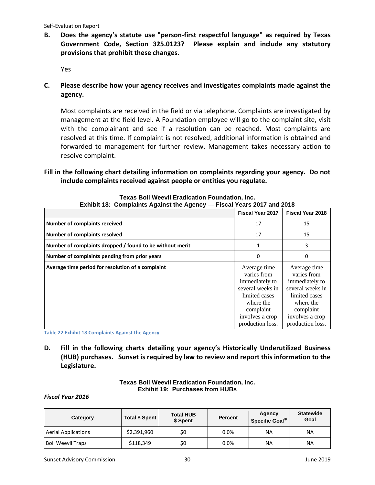## **B. Does the agency's statute use "person-first respectful language" as required by Texas Government Code, Section 325.0123? Please explain and include any statutory provisions that prohibit these changes.**

Yes

**C. Please describe how your agency receives and investigates complaints made against the agency.**

Most complaints are received in the field or via telephone. Complaints are investigated by management at the field level. A Foundation employee will go to the complaint site, visit with the complainant and see if a resolution can be reached. Most complaints are resolved at this time. If complaint is not resolved, additional information is obtained and forwarded to management for further review. Management takes necessary action to resolve complaint.

### **Fill in the following chart detailing information on complaints regarding your agency. Do not include complaints received against people or entities you regulate.**

|                                                          | <b>Fiscal Year 2017</b>                                                                                                                             | <b>Fiscal Year 2018</b>                                                                                                                             |
|----------------------------------------------------------|-----------------------------------------------------------------------------------------------------------------------------------------------------|-----------------------------------------------------------------------------------------------------------------------------------------------------|
| <b>Number of complaints received</b>                     | 17                                                                                                                                                  | 15                                                                                                                                                  |
| <b>Number of complaints resolved</b>                     | 17                                                                                                                                                  | 15                                                                                                                                                  |
| Number of complaints dropped / found to be without merit | 1                                                                                                                                                   | 3                                                                                                                                                   |
| Number of complaints pending from prior years            | $\Omega$                                                                                                                                            | 0                                                                                                                                                   |
| Average time period for resolution of a complaint        | Average time<br>varies from<br>immediately to<br>several weeks in<br>limited cases<br>where the<br>complaint<br>involves a crop<br>production loss. | Average time<br>varies from<br>immediately to<br>several weeks in<br>limited cases<br>where the<br>complaint<br>involves a crop<br>production loss. |

**Texas Boll Weevil Eradication Foundation, Inc. Exhibit 18: Complaints Against the Agency — Fiscal Years 2017 and 2018**

**Table 22 Exhibit 18 Complaints Against the Agency**

**D. Fill in the following charts detailing your agency's Historically Underutilized Business (HUB) purchases. Sunset is required by law to review and report this information to the Legislature.**

#### **Texas Boll Weevil Eradication Foundation, Inc. Exhibit 19: Purchases from HUBs**

#### *Fiscal Year 2016*

| Category                   | <b>Total \$ Spent</b> | <b>Total HUB</b><br>\$ Spent | <b>Percent</b> | Agency<br>Specific Goal* | <b>Statewide</b><br>Goal |
|----------------------------|-----------------------|------------------------------|----------------|--------------------------|--------------------------|
| <b>Aerial Applications</b> | \$2,391,960           | \$0                          | 0.0%           | <b>NA</b>                | ΝA                       |
| <b>Boll Weevil Traps</b>   | \$118,349             | \$0                          | 0.0%           | <b>NA</b>                | <b>NA</b>                |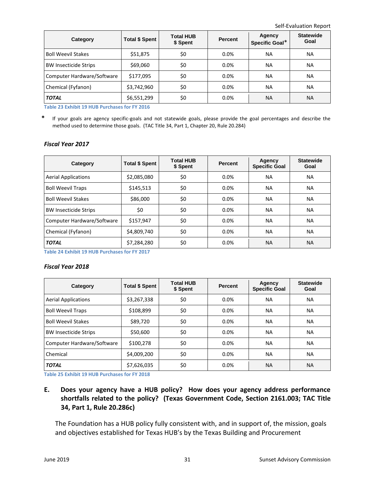| Category                     | <b>Total \$ Spent</b> | <b>Total HUB</b><br>\$ Spent | <b>Percent</b> | Agency<br>Specific Goal* | <b>Statewide</b><br>Goal |
|------------------------------|-----------------------|------------------------------|----------------|--------------------------|--------------------------|
| <b>Boll Weevil Stakes</b>    | \$51,875              | \$0                          | 0.0%           | NА                       | NA.                      |
| <b>BW Insecticide Strips</b> | \$69,060              | \$0                          | 0.0%           | NА                       | NA                       |
| Computer Hardware/Software   | \$177,095             | \$0                          | 0.0%           | NА                       | NA                       |
| Chemical (Fyfanon)           | \$3,742,960           | \$0                          | 0.0%           | NА                       | NA                       |
| <b>TOTAL</b>                 | \$6,551,299           | \$0                          | 0.0%           | <b>NA</b>                | <b>NA</b>                |

**Table 23 Exhibit 19 HUB Purchases for FY 2016**

**\*** If your goals are agency specific-goals and not statewide goals, please provide the goal percentages and describe the method used to determine those goals. (TAC Title 34, Part 1, Chapter 20, Rule 20.284)

#### *Fiscal Year 2017*

| Category                     | <b>Total \$ Spent</b> | <b>Total HUB</b><br>\$ Spent | <b>Percent</b> | Agency<br><b>Specific Goal</b> | <b>Statewide</b><br>Goal |
|------------------------------|-----------------------|------------------------------|----------------|--------------------------------|--------------------------|
| <b>Aerial Applications</b>   | \$2,085,080           | \$0                          | $0.0\%$        | <b>NA</b>                      | NA.                      |
| <b>Boll Weevil Traps</b>     | \$145,513             | \$0                          | 0.0%           | <b>NA</b>                      | <b>NA</b>                |
| <b>Boll Weevil Stakes</b>    | \$86,000              | \$0                          | 0.0%           | <b>NA</b>                      | <b>NA</b>                |
| <b>BW Insecticide Strips</b> | \$0                   | \$0                          | 0.0%           | <b>NA</b>                      | <b>NA</b>                |
| Computer Hardware/Software   | \$157,947             | \$0                          | 0.0%           | <b>NA</b>                      | <b>NA</b>                |
| Chemical (Fyfanon)           | \$4,809,740           | \$0                          | 0.0%           | <b>NA</b>                      | <b>NA</b>                |
| <b>TOTAL</b>                 | \$7,284,280           | \$0                          | 0.0%           | <b>NA</b>                      | <b>NA</b>                |

**Table 24 Exhibit 19 HUB Purchases for FY 2017**

#### *Fiscal Year 2018*

| Category                     | <b>Total \$ Spent</b> | <b>Total HUB</b><br>\$ Spent | <b>Percent</b> | Agency<br><b>Specific Goal</b> | <b>Statewide</b><br>Goal |
|------------------------------|-----------------------|------------------------------|----------------|--------------------------------|--------------------------|
| <b>Aerial Applications</b>   | \$3,267,338           | \$0                          | 0.0%           | <b>NA</b>                      | <b>NA</b>                |
| <b>Boll Weevil Traps</b>     | \$108,899             | \$0                          | 0.0%           | NА                             | <b>NA</b>                |
| <b>Boll Weevil Stakes</b>    | \$89,720              | \$0                          | 0.0%           | <b>NA</b>                      | NA.                      |
| <b>BW Insecticide Strips</b> | \$50,600              | \$0                          | 0.0%           | <b>NA</b>                      | <b>NA</b>                |
| Computer Hardware/Software   | \$100,278             | \$0                          | 0.0%           | <b>NA</b>                      | <b>NA</b>                |
| <b>Chemical</b>              | \$4,009,200           | \$0                          | 0.0%           | <b>NA</b>                      | NA                       |
| <b>TOTAL</b>                 | \$7,626,035           | \$0                          | 0.0%           | <b>NA</b>                      | ΝA                       |

**Table 25 Exhibit 19 HUB Purchases for FY 2018**

**E. Does your agency have a HUB policy? How does your agency address performance shortfalls related to the policy? (Texas Government Code, Section 2161.003; TAC Title 34, Part 1, Rule 20.286c)**

The Foundation has a HUB policy fully consistent with, and in support of, the mission, goals and objectives established for Texas HUB's by the Texas Building and Procurement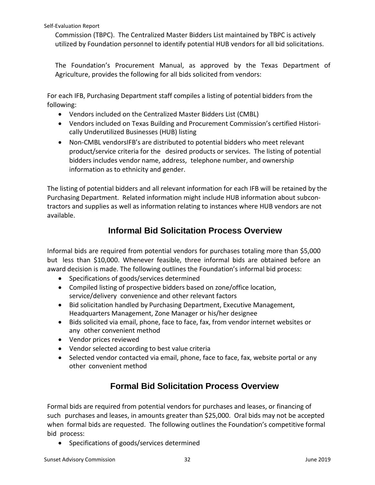Commission (TBPC). The Centralized Master Bidders List maintained by TBPC is actively utilized by Foundation personnel to identify potential HUB vendors for all bid solicitations.

The Foundation's Procurement Manual, as approved by the Texas Department of Agriculture, provides the following for all bids solicited from vendors:

For each IFB, Purchasing Department staff compiles a listing of potential bidders from the following:

- Vendors included on the Centralized Master Bidders List (CMBL)
- Vendors included on Texas Building and Procurement Commission's certified Historically Underutilized Businesses (HUB) listing
- Non-CMBL vendorsIFB's are distributed to potential bidders who meet relevant product/service criteria for the desired products or services. The listing of potential bidders includes vendor name, address, telephone number, and ownership information as to ethnicity and gender.

The listing of potential bidders and all relevant information for each IFB will be retained by the Purchasing Department. Related information might include HUB information about subcontractors and supplies as well as information relating to instances where HUB vendors are not available.

## **Informal Bid Solicitation Process Overview**

Informal bids are required from potential vendors for purchases totaling more than \$5,000 but less than \$10,000. Whenever feasible, three informal bids are obtained before an award decision is made. The following outlines the Foundation's informal bid process:

- Specifications of goods/services determined
- Compiled listing of prospective bidders based on zone/office location, service/delivery convenience and other relevant factors
- Bid solicitation handled by Purchasing Department, Executive Management, Headquarters Management, Zone Manager or his/her designee
- Bids solicited via email, phone, face to face, fax, from vendor internet websites or any other convenient method
- Vendor prices reviewed
- Vendor selected according to best value criteria
- Selected vendor contacted via email, phone, face to face, fax, website portal or any other convenient method

## **Formal Bid Solicitation Process Overview**

Formal bids are required from potential vendors for purchases and leases, or financing of such purchases and leases, in amounts greater than \$25,000. Oral bids may not be accepted when formal bids are requested. The following outlines the Foundation's competitive formal bid process:

• Specifications of goods/services determined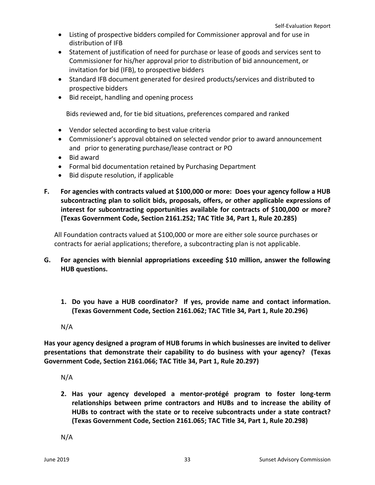- Listing of prospective bidders compiled for Commissioner approval and for use in distribution of IFB
- Statement of justification of need for purchase or lease of goods and services sent to Commissioner for his/her approval prior to distribution of bid announcement, or invitation for bid (IFB), to prospective bidders
- Standard IFB document generated for desired products/services and distributed to prospective bidders
- Bid receipt, handling and opening process

Bids reviewed and, for tie bid situations, preferences compared and ranked

- Vendor selected according to best value criteria
- Commissioner's approval obtained on selected vendor prior to award announcement and prior to generating purchase/lease contract or PO
- Bid award
- Formal bid documentation retained by Purchasing Department
- Bid dispute resolution, if applicable
- **F. For agencies with contracts valued at \$100,000 or more: Does your agency follow a HUB subcontracting plan to solicit bids, proposals, offers, or other applicable expressions of interest for subcontracting opportunities available for contracts of \$100,000 or more? (Texas Government Code, Section 2161.252; TAC Title 34, Part 1, Rule 20.285)**

All Foundation contracts valued at \$100,000 or more are either sole source purchases or contracts for aerial applications; therefore, a subcontracting plan is not applicable.

- **G. For agencies with biennial appropriations exceeding \$10 million, answer the following HUB questions.**
	- **1. Do you have a HUB coordinator? If yes, provide name and contact information. (Texas Government Code, Section 2161.062; TAC Title 34, Part 1, Rule 20.296)**
	- N/A

**Has your agency designed a program of HUB forums in which businesses are invited to deliver presentations that demonstrate their capability to do business with your agency? (Texas Government Code, Section 2161.066; TAC Title 34, Part 1, Rule 20.297)**

- N/A
- **2. Has your agency developed a mentor-protégé program to foster long-term relationships between prime contractors and HUBs and to increase the ability of HUBs to contract with the state or to receive subcontracts under a state contract? (Texas Government Code, Section 2161.065; TAC Title 34, Part 1, Rule 20.298)**

N/A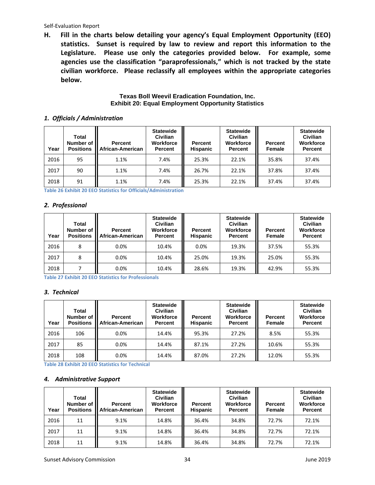**H. Fill in the charts below detailing your agency's Equal Employment Opportunity (EEO) statistics. Sunset is required by law to review and report this information to the Legislature. Please use only the categories provided below. For example, some agencies use the classification "paraprofessionals," which is not tracked by the state civilian workforce. Please reclassify all employees within the appropriate categories below.**

#### **Texas Boll Weevil Eradication Foundation, Inc. Exhibit 20: Equal Employment Opportunity Statistics**

#### *1. Officials / Administration*

| Year | Total<br>Number of<br><b>Positions</b> | <b>Percent</b><br>African-American | <b>Statewide</b><br><b>Civilian</b><br><b>Workforce</b><br><b>Percent</b> | <b>Percent</b><br><b>Hispanic</b> | <b>Statewide</b><br><b>Civilian</b><br>Workforce<br>Percent | <b>Percent</b><br>Female | <b>Statewide</b><br><b>Civilian</b><br>Workforce<br><b>Percent</b> |
|------|----------------------------------------|------------------------------------|---------------------------------------------------------------------------|-----------------------------------|-------------------------------------------------------------|--------------------------|--------------------------------------------------------------------|
| 2016 | 95                                     | 1.1%                               | 7.4%                                                                      | 25.3%                             | 22.1%                                                       | 35.8%                    | 37.4%                                                              |
| 2017 | 90                                     | 1.1%                               | 7.4%                                                                      | 26.7%                             | 22.1%                                                       | 37.8%                    | 37.4%                                                              |
| 2018 | 91                                     | 1.1%                               | 7.4%                                                                      | 25.3%                             | 22.1%                                                       | 37.4%                    | 37.4%                                                              |

**Table 26 Exhibit 20 EEO Statistics for Officials/Administration**

#### *2. Professional*

| Year | Total<br>Number of<br><b>Positions</b> | <b>Percent</b><br>African-American | <b>Statewide</b><br><b>Civilian</b><br>Workforce<br><b>Percent</b> | <b>Percent</b><br><b>Hispanic</b> | <b>Statewide</b><br><b>Civilian</b><br>Workforce<br><b>Percent</b> | <b>Percent</b><br>Female | <b>Statewide</b><br><b>Civilian</b><br><b>Workforce</b><br><b>Percent</b> |
|------|----------------------------------------|------------------------------------|--------------------------------------------------------------------|-----------------------------------|--------------------------------------------------------------------|--------------------------|---------------------------------------------------------------------------|
| 2016 | 8                                      | 0.0%                               | 10.4%                                                              | 0.0%                              | 19.3%                                                              | 37.5%                    | 55.3%                                                                     |
| 2017 | 8                                      | 0.0%                               | 10.4%                                                              | 25.0%                             | 19.3%                                                              | 25.0%                    | 55.3%                                                                     |
| 2018 |                                        | 0.0%                               | 10.4%                                                              | 28.6%                             | 19.3%                                                              | 42.9%                    | 55.3%                                                                     |

**Table 27 Exhibit 20 EEO Statistics for Professionals**

#### *3. Technical*

| Year | <b>Total</b><br>Number of I<br><b>Positions</b> | <b>Percent</b><br>African-American | <b>Statewide</b><br><b>Civilian</b><br><b>Workforce</b><br><b>Percent</b> | Percent<br><b>Hispanic</b> | <b>Statewide</b><br><b>Civilian</b><br>Workforce<br><b>Percent</b> | <b>Percent</b><br>Female | <b>Statewide</b><br><b>Civilian</b><br>Workforce<br><b>Percent</b> |
|------|-------------------------------------------------|------------------------------------|---------------------------------------------------------------------------|----------------------------|--------------------------------------------------------------------|--------------------------|--------------------------------------------------------------------|
| 2016 | 106                                             | 0.0%                               | 14.4%                                                                     | 95.3%                      | 27.2%                                                              | 8.5%                     | 55.3%                                                              |
| 2017 | 85                                              | 0.0%                               | 14.4%                                                                     | 87.1%                      | 27.2%                                                              | 10.6%                    | 55.3%                                                              |
| 2018 | 108                                             | 0.0%                               | 14.4%                                                                     | 87.0%                      | 27.2%                                                              | 12.0%                    | 55.3%                                                              |

**Table 28 Exhibit 20 EEO Statistics for Technical**

#### *4. Administrative Support*

| Year | Total<br>Number of<br><b>Positions</b> | Percent<br>African-American | <b>Statewide</b><br><b>Civilian</b><br><b>Workforce</b><br><b>Percent</b> | Percent<br><b>Hispanic</b> | <b>Statewide</b><br><b>Civilian</b><br>Workforce<br><b>Percent</b> | <b>Percent</b><br>Female | <b>Statewide</b><br><b>Civilian</b><br>Workforce<br>Percent |
|------|----------------------------------------|-----------------------------|---------------------------------------------------------------------------|----------------------------|--------------------------------------------------------------------|--------------------------|-------------------------------------------------------------|
| 2016 | 11                                     | 9.1%                        | 14.8%                                                                     | 36.4%                      | 34.8%                                                              | 72.7%                    | 72.1%                                                       |
| 2017 | 11                                     | 9.1%                        | 14.8%                                                                     | 36.4%                      | 34.8%                                                              | 72.7%                    | 72.1%                                                       |
| 2018 | 11                                     | 9.1%                        | 14.8%                                                                     | 36.4%                      | 34.8%                                                              | 72.7%                    | 72.1%                                                       |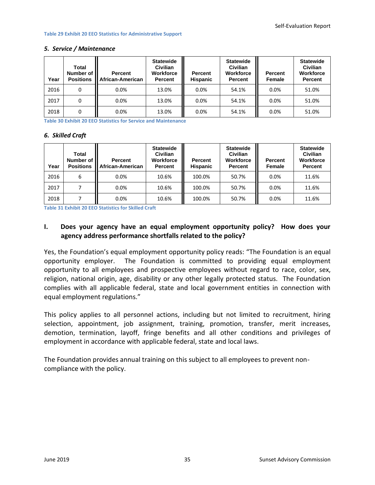#### **Table 29 Exhibit 20 EEO Statistics for Administrative Support**

| Year | Total<br>Number of<br><b>Positions</b> | <b>Percent</b><br>African-American | <b>Statewide</b><br>Civilian<br><b>Workforce</b><br><b>Percent</b> | <b>Percent</b><br><b>Hispanic</b> | <b>Statewide</b><br><b>Civilian</b><br>Workforce<br><b>Percent</b> | <b>Percent</b><br><b>Female</b> | <b>Statewide</b><br><b>Civilian</b><br>Workforce<br><b>Percent</b> |
|------|----------------------------------------|------------------------------------|--------------------------------------------------------------------|-----------------------------------|--------------------------------------------------------------------|---------------------------------|--------------------------------------------------------------------|
| 2016 |                                        | 0.0%                               | 13.0%                                                              | 0.0%                              | 54.1%                                                              | 0.0%                            | 51.0%                                                              |
| 2017 |                                        | 0.0%                               | 13.0%                                                              | 0.0%                              | 54.1%                                                              | 0.0%                            | 51.0%                                                              |
| 2018 |                                        | 0.0%                               | 13.0%                                                              | 0.0%                              | 54.1%                                                              | 0.0%                            | 51.0%                                                              |

#### *5. Service / Maintenance*

**Table 30 Exhibit 20 EEO Statistics for Service and Maintenance**

#### *6. Skilled Craft*

| Year | Total<br>Number of<br><b>Positions</b> | Percent<br>African-American | <b>Statewide</b><br>Civilian<br><b>Workforce</b><br>Percent | <b>Percent</b><br><b>Hispanic</b> | <b>Statewide</b><br>Civilian<br>Workforce<br><b>Percent</b> | <b>Percent</b><br>Female | <b>Statewide</b><br>Civilian<br><b>Workforce</b><br><b>Percent</b> |
|------|----------------------------------------|-----------------------------|-------------------------------------------------------------|-----------------------------------|-------------------------------------------------------------|--------------------------|--------------------------------------------------------------------|
| 2016 | 6                                      | 0.0%                        | 10.6%                                                       | 100.0%                            | 50.7%                                                       | 0.0%                     | 11.6%                                                              |
| 2017 |                                        | 0.0%                        | 10.6%                                                       | 100.0%                            | 50.7%                                                       | 0.0%                     | 11.6%                                                              |
| 2018 |                                        | 0.0%                        | 10.6%                                                       | 100.0%                            | 50.7%                                                       | 0.0%                     | 11.6%                                                              |

**Table 31 Exhibit 20 EEO Statistics for Skilled Craft**

## **I. Does your agency have an equal employment opportunity policy? How does your agency address performance shortfalls related to the policy?**

Yes, the Foundation's equal employment opportunity policy reads: "The Foundation is an equal opportunity employer. The Foundation is committed to providing equal employment opportunity to all employees and prospective employees without regard to race, color, sex, religion, national origin, age, disability or any other legally protected status. The Foundation complies with all applicable federal, state and local government entities in connection with equal employment regulations."

This policy applies to all personnel actions, including but not limited to recruitment, hiring selection, appointment, job assignment, training, promotion, transfer, merit increases, demotion, termination, layoff, fringe benefits and all other conditions and privileges of employment in accordance with applicable federal, state and local laws.

<span id="page-36-0"></span>The Foundation provides annual training on this subject to all employees to prevent noncompliance with the policy.